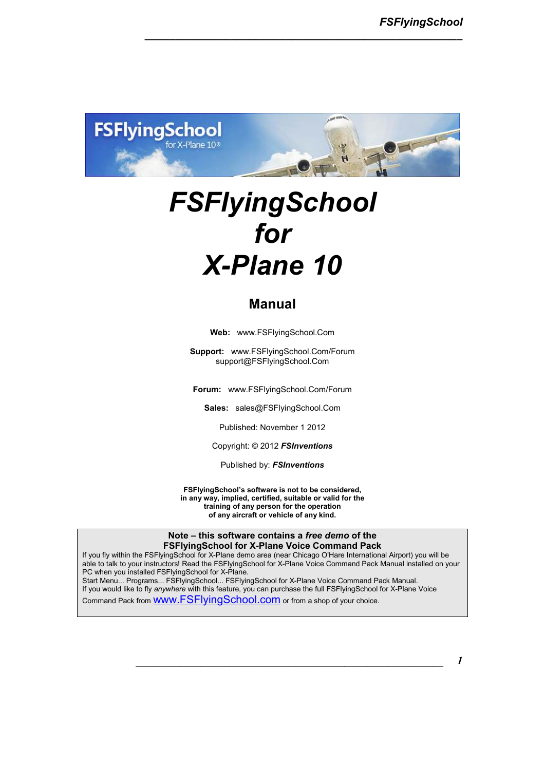

*\_\_\_\_\_\_\_\_\_\_\_\_\_\_\_\_\_\_\_\_\_\_\_\_\_\_\_\_\_\_\_\_\_\_\_\_\_\_\_\_\_\_\_\_\_\_\_\_\_\_\_\_*

# *FSFlyingSchool for X-Plane 10*

### **Manual**

**Web:** www.FSFlyingSchool.Com

**Support:** www.FSFlyingSchool.Com/Forum support@FSFlyingSchool.Com

**Forum:** www.FSFlyingSchool.Com/Forum

**Sales:** sales@FSFlyingSchool.Com

Published: November 1 2012

Copyright: © 2012 *FSInventions* 

Published by: *FSInventions* 

**FSFlyingSchool's software is not to be considered, in any way, implied, certified, suitable or valid for the training of any person for the operation of any aircraft or vehicle of any kind.** 

**Note – this software contains a** *free demo* **of the FSFlyingSchool for X-Plane Voice Command Pack** 

If you fly within the FSFlyingSchool for X-Plane demo area (near Chicago O'Hare International Airport) you will be able to talk to your instructors! Read the FSFlyingSchool for X-Plane Voice Command Pack Manual installed on your PC when you installed FSFlyingSchool for X-Plane. Start Menu... Programs... FSFlyingSchool... FSFlyingSchool for X-Plane Voice Command Pack Manual. If you would like to fly *anywhere* with this feature, you can purchase the full FSFlyingSchool for X-Plane Voice

Command Pack from www.FSFlyingSchool.com or from a shop of your choice.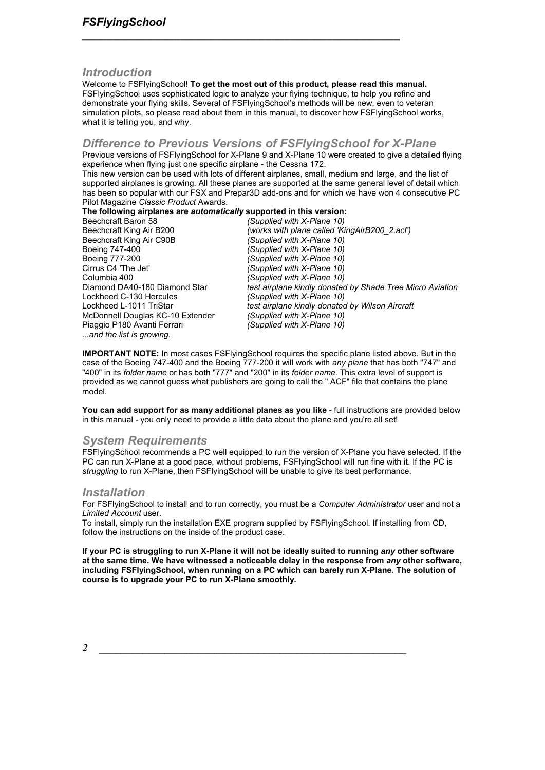### *Introduction*

Welcome to FSFlyingSchool! **To get the most out of this product, please read this manual.** FSFlyingSchool uses sophisticated logic to analyze your flying technique, to help you refine and demonstrate your flying skills. Several of FSFlyingSchool's methods will be new, even to veteran simulation pilots, so please read about them in this manual, to discover how FSFlyingSchool works, what it is telling you, and why.

*\_\_\_\_\_\_\_\_\_\_\_\_\_\_\_\_\_\_\_\_\_\_\_\_\_\_\_\_\_\_\_\_\_\_\_\_\_\_\_\_\_\_\_\_\_\_\_\_\_\_\_\_*

### *Difference to Previous Versions of FSFlyingSchool for X-Plane*

Previous versions of FSFlyingSchool for X-Plane 9 and X-Plane 10 were created to give a detailed flying experience when flying just one specific airplane - the Cessna 172.

This new version can be used with lots of different airplanes, small, medium and large, and the list of supported airplanes is growing. All these planes are supported at the same general level of detail which has been so popular with our FSX and Prepar3D add-ons and for which we have won 4 consecutive PC Pilot Magazine *Classic Product* Awards.

## **The following airplanes are** *automatically* **supported in this version:<br>Beechcraft Baron 58 (Supplied with X-Plane 10)**

Beechcraft Baron 58 *(Supplied with X-Plane 10)* (works with plane called 'KingAirB200\_2.acf')<br>(Supplied with X-Plane 10) Beechcraft King Air C90B<br>Boeing 747-400 *(Supplied with X-Plane 10)* Boeing 777-200 *(Supplied with X-Plane 10)* Cirrus C4 'The Jet' *(Supplied with X-Plane 10)*  Columbia 400 *(Supplied with X-Plane 10)* Diamond DA40-180 Diamond Star *test airplane kindly donated by Shade Tree Micro Aviation*  Lockheed C-130 Hercules *(Supplied with X-Plane 10)*  test airplane kindly donated by Wilson Aircraft<br>(Supplied with X-Plane 10) McDonnell Douglas KC-10 Extender *(Supplied with X-Plane 10)*  Piaggio P180 Avanti Ferrari *...and the list is growing.* 

**IMPORTANT NOTE:** In most cases FSFlyingSchool requires the specific plane listed above. But in the case of the Boeing 747-400 and the Boeing 777-200 it will work with *any plane* that has both "747" and "400" in its *folder name* or has both "777" and "200" in its *folder name*. This extra level of support is provided as we cannot guess what publishers are going to call the ".ACF" file that contains the plane model.

**You can add support for as many additional planes as you like** - full instructions are provided below in this manual - you only need to provide a little data about the plane and you're all set!

### *System Requirements*

FSFlyingSchool recommends a PC well equipped to run the version of X-Plane you have selected. If the PC can run X-Plane at a good pace, without problems, FSFlyingSchool will run fine with it. If the PC is *struggling* to run X-Plane, then FSFlyingSchool will be unable to give its best performance.

### *Installation*

For FSFlyingSchool to install and to run correctly, you must be a *Computer Administrator* user and not a *Limited Account* user.

To install, simply run the installation EXE program supplied by FSFlyingSchool. If installing from CD, follow the instructions on the inside of the product case.

**If your PC is struggling to run X-Plane it will not be ideally suited to running** *any* **other software at the same time. We have witnessed a noticeable delay in the response from** *any* **other software, including FSFlyingSchool, when running on a PC which can barely run X-Plane. The solution of course is to upgrade your PC to run X-Plane smoothly.**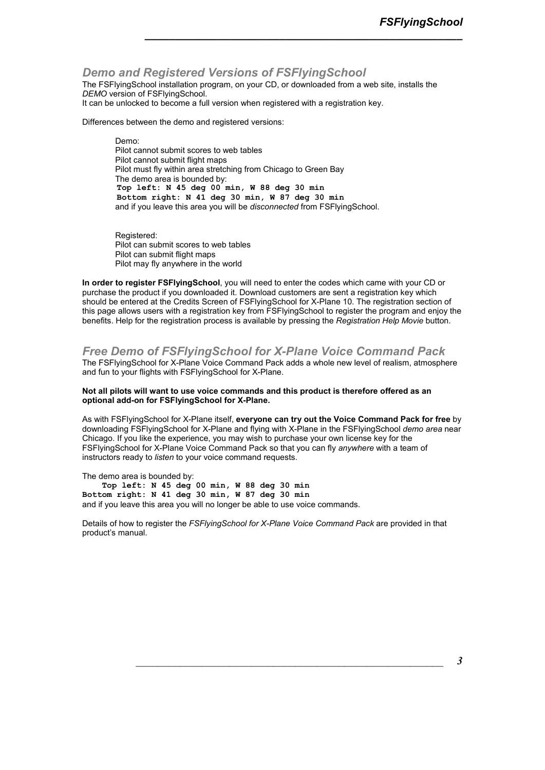### *Demo and Registered Versions of FSFlyingSchool*

The FSFlyingSchool installation program, on your CD, or downloaded from a web site, installs the *DEMO* version of FSFlyingSchool.

*\_\_\_\_\_\_\_\_\_\_\_\_\_\_\_\_\_\_\_\_\_\_\_\_\_\_\_\_\_\_\_\_\_\_\_\_\_\_\_\_\_\_\_\_\_\_\_\_\_\_\_\_*

It can be unlocked to become a full version when registered with a registration key.

Differences between the demo and registered versions:

Demo: Pilot cannot submit scores to web tables Pilot cannot submit flight maps Pilot must fly within area stretching from Chicago to Green Bay The demo area is bounded by:  **Top left: N 45 deg 00 min, W 88 deg 30 min Bottom right: N 41 deg 30 min, W 87 deg 30 min**  and if you leave this area you will be *disconnected* from FSFlyingSchool.

Registered: Pilot can submit scores to web tables Pilot can submit flight maps Pilot may fly anywhere in the world

**In order to register FSFlyingSchool**, you will need to enter the codes which came with your CD or purchase the product if you downloaded it. Download customers are sent a registration key which should be entered at the Credits Screen of FSFlyingSchool for X-Plane 10. The registration section of this page allows users with a registration key from FSFlyingSchool to register the program and enjoy the benefits. Help for the registration process is available by pressing the *Registration Help Movie* button.

### *Free Demo of FSFlyingSchool for X-Plane Voice Command Pack*

The FSFlyingSchool for X-Plane Voice Command Pack adds a whole new level of realism, atmosphere and fun to your flights with FSFlyingSchool for X-Plane.

#### **Not all pilots will want to use voice commands and this product is therefore offered as an optional add-on for FSFlyingSchool for X-Plane.**

As with FSFlyingSchool for X-Plane itself, **everyone can try out the Voice Command Pack for free** by downloading FSFlyingSchool for X-Plane and flying with X-Plane in the FSFlyingSchool *demo area* near Chicago. If you like the experience, you may wish to purchase your own license key for the FSFlyingSchool for X-Plane Voice Command Pack so that you can fly *anywhere* with a team of instructors ready to *listen* to your voice command requests.

The demo area is bounded by:  **Top left: N 45 deg 00 min, W 88 deg 30 min Bottom right: N 41 deg 30 min, W 87 deg 30 min**  and if you leave this area you will no longer be able to use voice commands.

Details of how to register the *FSFlyingSchool for X-Plane Voice Command Pack* are provided in that product's manual.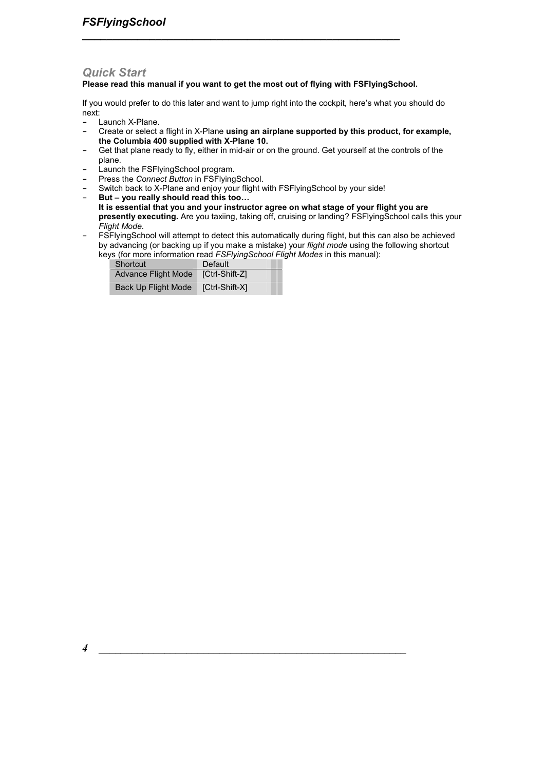### *Quick Start*

### **Please read this manual if you want to get the most out of flying with FSFlyingSchool.**

*\_\_\_\_\_\_\_\_\_\_\_\_\_\_\_\_\_\_\_\_\_\_\_\_\_\_\_\_\_\_\_\_\_\_\_\_\_\_\_\_\_\_\_\_\_\_\_\_\_\_\_\_*

If you would prefer to do this later and want to jump right into the cockpit, here's what you should do next:

- **-** Launch X-Plane.
- **-** Create or select a flight in X-Plane **using an airplane supported by this product, for example, the Columbia 400 supplied with X-Plane 10.**
- **-** Get that plane ready to fly, either in mid-air or on the ground. Get yourself at the controls of the plane.
- **-** Launch the FSFlyingSchool program.
- **-** Press the *Connect Button* in FSFlyingSchool.
- **-** Switch back to X-Plane and enjoy your flight with FSFlyingSchool by your side!
- But you really should read this too...
- **It is essential that you and your instructor agree on what stage of your flight you are presently executing.** Are you taxiing, taking off, cruising or landing? FSFlyingSchool calls this your *Flight Mode.*
- **-** FSFlyingSchool will attempt to detect this automatically during flight, but this can also be achieved by advancing (or backing up if you make a mistake) your *flight mode* using the following shortcut keys (for more information read *FSFlyingSchool Flight Modes* in this manual):

| Shortcut            | Default        |  |
|---------------------|----------------|--|
| Advance Flight Mode | [Ctrl-Shift-Z] |  |
| Back Up Flight Mode | [Ctrl-Shift-X] |  |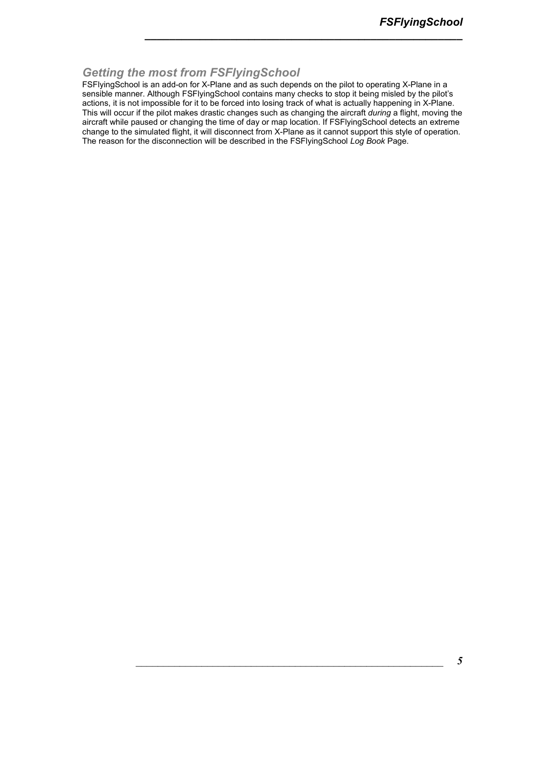### *Getting the most from FSFlyingSchool*

FSFlyingSchool is an add-on for X-Plane and as such depends on the pilot to operating X-Plane in a sensible manner. Although FSFlyingSchool contains many checks to stop it being misled by the pilot's actions, it is not impossible for it to be forced into losing track of what is actually happening in X-Plane. This will occur if the pilot makes drastic changes such as changing the aircraft *during* a flight, moving the aircraft while paused or changing the time of day or map location. If FSFlyingSchool detects an extreme change to the simulated flight, it will disconnect from X-Plane as it cannot support this style of operation. The reason for the disconnection will be described in the FSFlyingSchool *Log Book* Page.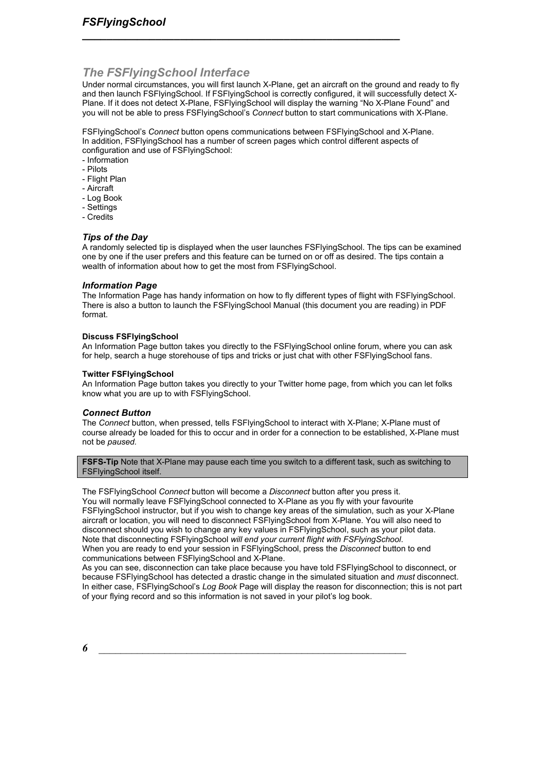### *The FSFlyingSchool Interface*

Under normal circumstances, you will first launch X-Plane, get an aircraft on the ground and ready to fly and then launch FSFlyingSchool. If FSFlyingSchool is correctly configured, it will successfully detect X-Plane. If it does not detect X-Plane, FSFlyingSchool will display the warning "No X-Plane Found" and you will not be able to press FSFlyingSchool's *Connect* button to start communications with X-Plane.

FSFlyingSchool's *Connect* button opens communications between FSFlyingSchool and X-Plane. In addition, FSFlyingSchool has a number of screen pages which control different aspects of configuration and use of FSFlyingSchool:

*\_\_\_\_\_\_\_\_\_\_\_\_\_\_\_\_\_\_\_\_\_\_\_\_\_\_\_\_\_\_\_\_\_\_\_\_\_\_\_\_\_\_\_\_\_\_\_\_\_\_\_\_*

- Information
- Pilots
- Flight Plan
- Aircraft
- Log Book
- Settings
- Credits

### *Tips of the Day*

A randomly selected tip is displayed when the user launches FSFlyingSchool. The tips can be examined one by one if the user prefers and this feature can be turned on or off as desired. The tips contain a wealth of information about how to get the most from FSFlyingSchool.

### *Information Page*

The Information Page has handy information on how to fly different types of flight with FSFlyingSchool. There is also a button to launch the FSFlyingSchool Manual (this document you are reading) in PDF format.

### **Discuss FSFlyingSchool**

An Information Page button takes you directly to the FSFlyingSchool online forum, where you can ask for help, search a huge storehouse of tips and tricks or just chat with other FSFlyingSchool fans.

#### **Twitter FSFlyingSchool**

An Information Page button takes you directly to your Twitter home page, from which you can let folks know what you are up to with FSFlyingSchool.

### *Connect Button*

The *Connect* button, when pressed, tells FSFlyingSchool to interact with X-Plane; X-Plane must of course already be loaded for this to occur and in order for a connection to be established, X-Plane must not be *paused.* 

**FSFS-Tip** Note that X-Plane may pause each time you switch to a different task, such as switching to FSFlyingSchool itself.

The FSFlyingSchool *Connect* button will become a *Disconnect* button after you press it. You will normally leave FSFlyingSchool connected to X-Plane as you fly with your favourite FSFlyingSchool instructor, but if you wish to change key areas of the simulation, such as your X-Plane aircraft or location, you will need to disconnect FSFlyingSchool from X-Plane. You will also need to disconnect should you wish to change any key values in FSFlyingSchool, such as your pilot data. Note that disconnecting FSFlyingSchool *will end your current flight with FSFlyingSchool*. When you are ready to end your session in FSFlyingSchool, press the *Disconnect* button to end communications between FSFlyingSchool and X-Plane.

As you can see, disconnection can take place because you have told FSFlyingSchool to disconnect, or because FSFlyingSchool has detected a drastic change in the simulated situation and *must* disconnect. In either case, FSFlyingSchool's *Log Book* Page will display the reason for disconnection; this is not part of your flying record and so this information is not saved in your pilot's log book.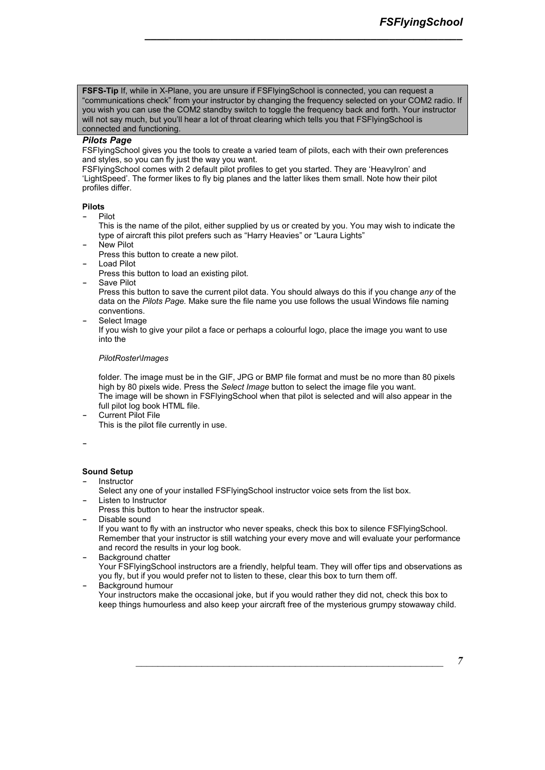**FSFS-Tip** If, while in X-Plane, you are unsure if FSFlyingSchool is connected, you can request a "communications check" from your instructor by changing the frequency selected on your COM2 radio. If you wish you can use the COM2 standby switch to toggle the frequency back and forth. Your instructor will not say much, but you'll hear a lot of throat clearing which tells you that FSFIyingSchool is connected and functioning.

*\_\_\_\_\_\_\_\_\_\_\_\_\_\_\_\_\_\_\_\_\_\_\_\_\_\_\_\_\_\_\_\_\_\_\_\_\_\_\_\_\_\_\_\_\_\_\_\_\_\_\_\_*

### *Pilots Page*

FSFlyingSchool gives you the tools to create a varied team of pilots, each with their own preferences and styles, so you can fly just the way you want.

FSFlyingSchool comes with 2 default pilot profiles to get you started. They are 'HeavyIron' and 'LightSpeed'. The former likes to fly big planes and the latter likes them small. Note how their pilot profiles differ.

### **Pilots**

**-** Pilot

This is the name of the pilot, either supplied by us or created by you. You may wish to indicate the type of aircraft this pilot prefers such as "Harry Heavies" or "Laura Lights"

- **-** New Pilot
- Press this button to create a new pilot.
- **-** Load Pilot
- Press this button to load an existing pilot.
- **-** Save Pilot

Press this button to save the current pilot data. You should always do this if you change *any* of the data on the *Pilots Page.* Make sure the file name you use follows the usual Windows file naming conventions.

**-** Select Image

If you wish to give your pilot a face or perhaps a colourful logo, place the image you want to use into the

#### *PilotRoster\Images*

folder. The image must be in the GIF, JPG or BMP file format and must be no more than 80 pixels high by 80 pixels wide. Press the *Select Image* button to select the image file you want. The image will be shown in FSFlyingSchool when that pilot is selected and will also appear in the full pilot log book HTML file.

**-** Current Pilot File

This is the pilot file currently in use.

### **-**

### **Sound Setup**

- **-** Instructor
- Select any one of your installed FSFlyingSchool instructor voice sets from the list box. **-** Listen to Instructor
- Press this button to hear the instructor speak.
- **-** Disable sound

If you want to fly with an instructor who never speaks, check this box to silence FSFlyingSchool. Remember that your instructor is still watching your every move and will evaluate your performance and record the results in your log book.

- **-** Background chatter Your FSFlyingSchool instructors are a friendly, helpful team. They will offer tips and observations as you fly, but if you would prefer not to listen to these, clear this box to turn them off. **-** Background humour
- Your instructors make the occasional joke, but if you would rather they did not, check this box to

keep things humourless and also keep your aircraft free of the mysterious grumpy stowaway child.

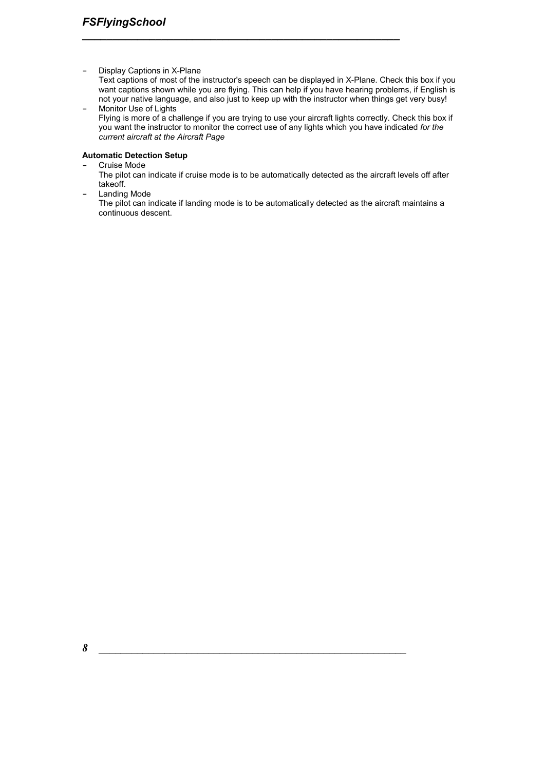**-** Display Captions in X-Plane

Text captions of most of the instructor's speech can be displayed in X-Plane. Check this box if you want captions shown while you are flying. This can help if you have hearing problems, if English is not your native language, and also just to keep up with the instructor when things get very busy! **-** Monitor Use of Lights

*\_\_\_\_\_\_\_\_\_\_\_\_\_\_\_\_\_\_\_\_\_\_\_\_\_\_\_\_\_\_\_\_\_\_\_\_\_\_\_\_\_\_\_\_\_\_\_\_\_\_\_\_*

Flying is more of a challenge if you are trying to use your aircraft lights correctly. Check this box if you want the instructor to monitor the correct use of any lights which you have indicated *for the current aircraft at the Aircraft Page*

### **Automatic Detection Setup**

- **-** Cruise Mode
	- The pilot can indicate if cruise mode is to be automatically detected as the aircraft levels off after takeoff.
- **-** Landing Mode

The pilot can indicate if landing mode is to be automatically detected as the aircraft maintains a continuous descent.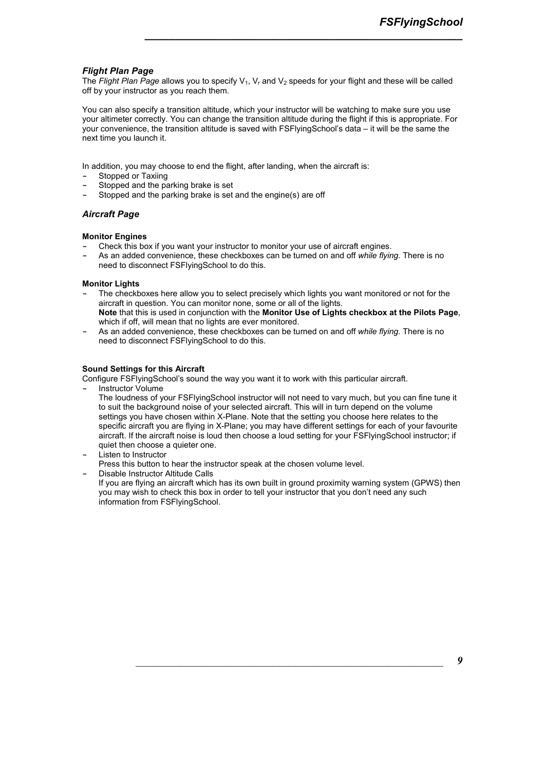### *Flight Plan Page*

The *Flight Plan Page* allows you to specify V<sub>1</sub>, V<sub>r</sub> and V<sub>2</sub> speeds for your flight and these will be called off by your instructor as you reach them.

*\_\_\_\_\_\_\_\_\_\_\_\_\_\_\_\_\_\_\_\_\_\_\_\_\_\_\_\_\_\_\_\_\_\_\_\_\_\_\_\_\_\_\_\_\_\_\_\_\_\_\_\_*

You can also specify a transition altitude, which your instructor will be watching to make sure you use your altimeter correctly. You can change the transition altitude during the flight if this is appropriate. For your convenience, the transition altitude is saved with FSFlyingSchool's data – it will be the same the next time you launch it.

In addition, you may choose to end the flight, after landing, when the aircraft is:

- **-** Stopped or Taxiing
- **-** Stopped and the parking brake is set
- **-** Stopped and the parking brake is set and the engine(s) are off

### *Aircraft Page*

#### **Monitor Engines**

- **-** Check this box if you want your instructor to monitor your use of aircraft engines.
- **-** As an added convenience, these checkboxes can be turned on and off *while flying.* There is no need to disconnect FSFlyingSchool to do this.

#### **Monitor Lights**

- **-** The checkboxes here allow you to select precisely which lights you want monitored or not for the aircraft in question. You can monitor none, some or all of the lights. **Note** that this is used in conjunction with the **Monitor Use of Lights checkbox at the Pilots Page**, which if off, will mean that no lights are ever monitored.
- **-** As an added convenience, these checkboxes can be turned on and off *while flying.* There is no need to disconnect FSFlyingSchool to do this.

#### **Sound Settings for this Aircraft**

Configure FSFlyingSchool's sound the way you want it to work with this particular aircraft.

- **-** Instructor Volume
	- The loudness of your FSFlyingSchool instructor will not need to vary much, but you can fine tune it to suit the background noise of your selected aircraft. This will in turn depend on the volume settings you have chosen within X-Plane. Note that the setting you choose here relates to the specific aircraft you are flying in X-Plane; you may have different settings for each of your favourite aircraft. If the aircraft noise is loud then choose a loud setting for your FSFlyingSchool instructor; if quiet then choose a quieter one.
- **-** Listen to Instructor

Press this button to hear the instructor speak at the chosen volume level.

**-** Disable Instructor Altitude Calls

If you are flying an aircraft which has its own built in ground proximity warning system (GPWS) then you may wish to check this box in order to tell your instructor that you don't need any such information from FSFlyingSchool.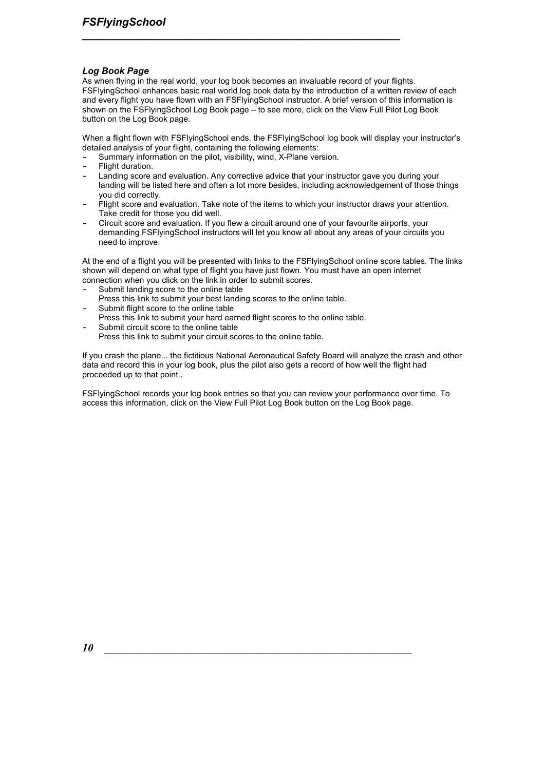### *Log Book Page*

As when flying in the real world, your log book becomes an invaluable record of your flights. FSFlyingSchool enhances basic real world log book data by the introduction of a written review of each and every flight you have flown with an FSFlyingSchool instructor. A brief version of this information is shown on the FSFlyingSchool Log Book page – to see more, click on the View Full Pilot Log Book button on the Log Book page.

*\_\_\_\_\_\_\_\_\_\_\_\_\_\_\_\_\_\_\_\_\_\_\_\_\_\_\_\_\_\_\_\_\_\_\_\_\_\_\_\_\_\_\_\_\_\_\_\_\_\_\_\_*

When a flight flown with FSFlyingSchool ends, the FSFlyingSchool log book will display your instructor's detailed analysis of your flight, containing the following elements:

- **-** Summary information on the pilot, visibility, wind, X-Plane version.
- **-** Flight duration.
- **-** Landing score and evaluation. Any corrective advice that your instructor gave you during your landing will be listed here and often a lot more besides, including acknowledgement of those things you did correctly.
- **-** Flight score and evaluation. Take note of the items to which your instructor draws your attention. Take credit for those you did well.
- **-** Circuit score and evaluation. If you flew a circuit around one of your favourite airports, your demanding FSFlyingSchool instructors will let you know all about any areas of your circuits you need to improve.

At the end of a flight you will be presented with links to the FSFlyingSchool online score tables. The links shown will depend on what type of flight you have just flown. You must have an open internet connection when you click on the link in order to submit scores.

- **-** Submit landing score to the online table
- Press this link to submit your best landing scores to the online table.
- **-** Submit flight score to the online table
- Press this link to submit your hard earned flight scores to the online table. **-** Submit circuit score to the online table
- Press this link to submit your circuit scores to the online table.

If you crash the plane... the fictitious National Aeronautical Safety Board will analyze the crash and other data and record this in your log book, plus the pilot also gets a record of how well the flight had proceeded up to that point..

FSFlyingSchool records your log book entries so that you can review your performance over time. To access this information, click on the View Full Pilot Log Book button on the Log Book page.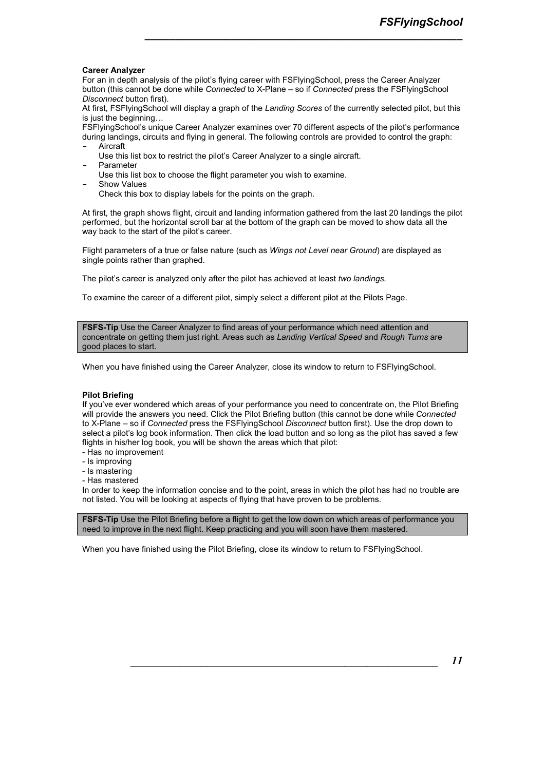#### **Career Analyzer**

For an in depth analysis of the pilot's flying career with FSFlyingSchool, press the Career Analyzer button (this cannot be done while *Connected* to X-Plane – so if *Connected* press the FSFlyingSchool *Disconnect* button first).

At first, FSFlyingSchool will display a graph of the *Landing Scores* of the currently selected pilot, but this is just the beginning $\ldots$ 

*\_\_\_\_\_\_\_\_\_\_\_\_\_\_\_\_\_\_\_\_\_\_\_\_\_\_\_\_\_\_\_\_\_\_\_\_\_\_\_\_\_\_\_\_\_\_\_\_\_\_\_\_*

FSFlyingSchool's unique Career Analyzer examines over 70 different aspects of the pilot's performance during landings, circuits and flying in general. The following controls are provided to control the graph: **-** Aircraft

- Use this list box to restrict the pilot's Career Analyzer to a single aircraft. **-** Parameter
- 
- Use this list box to choose the flight parameter you wish to examine.
- **-** Show Values

Check this box to display labels for the points on the graph.

At first, the graph shows flight, circuit and landing information gathered from the last 20 landings the pilot performed, but the horizontal scroll bar at the bottom of the graph can be moved to show data all the way back to the start of the pilot's career.

Flight parameters of a true or false nature (such as *Wings not Level near Ground*) are displayed as single points rather than graphed.

The pilot's career is analyzed only after the pilot has achieved at least *two landings.* 

To examine the career of a different pilot, simply select a different pilot at the Pilots Page.

**FSFS-Tip Use the Career Analyzer to find areas of your performance which need attention and** concentrate on getting them just right. Areas such as *Landing Vertical Speed* and *Rough Turns* are good places to start.

When you have finished using the Career Analyzer, close its window to return to FSFlyingSchool.

### **Pilot Briefing**

If you've ever wondered which areas of your performance you need to concentrate on, the Pilot Briefing will provide the answers you need. Click the Pilot Briefing button (this cannot be done while *Connected*  to X-Plane – so if *Connected* press the FSFlyingSchool *Disconnect* button first). Use the drop down to select a pilot's log book information. Then click the load button and so long as the pilot has saved a few flights in his/her log book, you will be shown the areas which that pilot:

- Has no improvement
- Is improving
- Is mastering
- Has mastered

In order to keep the information concise and to the point, areas in which the pilot has had no trouble are not listed. You will be looking at aspects of flying that have proven to be problems.

**FSFS-Tip** Use the Pilot Briefing before a flight to get the low down on which areas of performance you need to improve in the next flight. Keep practicing and you will soon have them mastered.

When you have finished using the Pilot Briefing, close its window to return to FSFlyingSchool.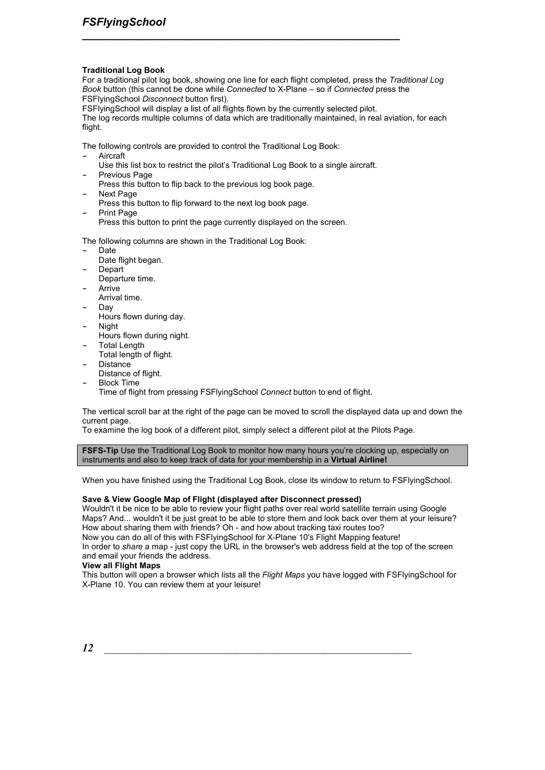#### **Traditional Log Book**

For a traditional pilot log book, showing one line for each flight completed, press the *Traditional Log Book* button (this cannot be done while *Connected* to X-Plane – so if *Connected* press the FSFlyingSchool *Disconnect* button first).

FSFlyingSchool will display a list of all flights flown by the currently selected pilot.

*\_\_\_\_\_\_\_\_\_\_\_\_\_\_\_\_\_\_\_\_\_\_\_\_\_\_\_\_\_\_\_\_\_\_\_\_\_\_\_\_\_\_\_\_\_\_\_\_\_\_\_\_*

The log records multiple columns of data which are traditionally maintained, in real aviation, for each flight.

The following controls are provided to control the Traditional Log Book:

**-** Aircraft

- Use this list box to restrict the pilot's Traditional Log Book to a single aircraft.
- **-** Previous Page
- Press this button to flip back to the previous log book page.
- **-** Next Page
- Press this button to flip forward to the next log book page.
- **-** Print Page
- Press this button to print the page currently displayed on the screen.

The following columns are shown in the Traditional Log Book:

- **-** Date
	- Date flight began.
- **-** Depart
- Departure time.
- **-** Arrive Arrival time.
- **-** Day
- Hours flown during day.
- **-** Night
- Hours flown during night. **-** Total Length
- Total length of flight.
- **-** Distance
- Distance of flight. **-** Block Time
	- Time of flight from pressing FSFlyingSchool *Connect* button to end of flight.

The vertical scroll bar at the right of the page can be moved to scroll the displayed data up and down the current page.

To examine the log book of a different pilot, simply select a different pilot at the Pilots Page.

**FSFS-Tip Use the Traditional Log Book to monitor how many hours you're clocking up, especially on** instruments and also to keep track of data for your membership in a **Virtual Airline!** 

When you have finished using the Traditional Log Book, close its window to return to FSFlyingSchool.

### **Save & View Google Map of Flight (displayed after Disconnect pressed)**

Wouldn't it be nice to be able to review your flight paths over real world satellite terrain using Google Maps? And... wouldn't it be just great to be able to store them and look back over them at your leisure? How about sharing them with friends? Oh - and how about tracking taxi routes too?

Now you can do all of this with FSFlyingSchool for X-Plane 10's Flight Mapping feature!

In order to *share* a map - just copy the URL in the browser's web address field at the top of the screen and email your friends the address.

### **View all Flight Maps**

This button will open a browser which lists all the *Flight Maps* you have logged with FSFlyingSchool for X-Plane 10. You can review them at your leisure!

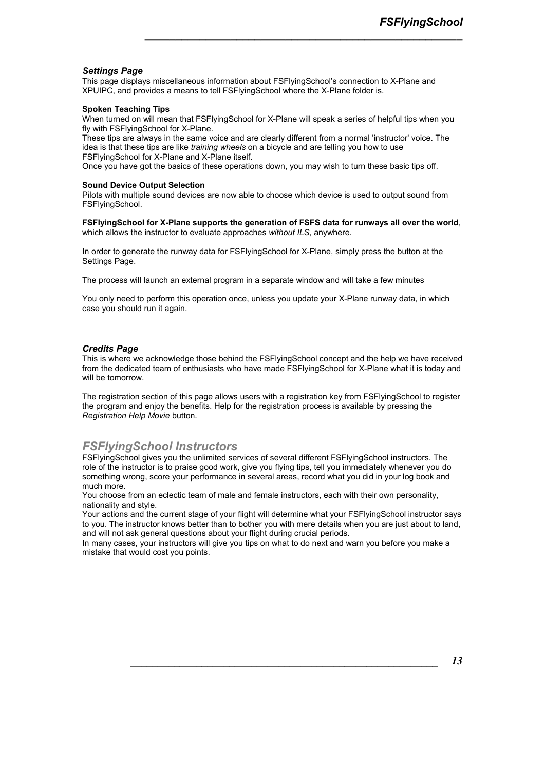### *Settings Page*

This page displays miscellaneous information about FSFlyingSchool's connection to X-Plane and XPUIPC, and provides a means to tell FSFlyingSchool where the X-Plane folder is.

#### **Spoken Teaching Tips**

When turned on will mean that FSFlyingSchool for X-Plane will speak a series of helpful tips when you fly with FSFlyingSchool for X-Plane.

*\_\_\_\_\_\_\_\_\_\_\_\_\_\_\_\_\_\_\_\_\_\_\_\_\_\_\_\_\_\_\_\_\_\_\_\_\_\_\_\_\_\_\_\_\_\_\_\_\_\_\_\_*

These tips are always in the same voice and are clearly different from a normal 'instructor' voice. The idea is that these tips are like *training wheels* on a bicycle and are telling you how to use FSFlyingSchool for X-Plane and X-Plane itself.

Once you have got the basics of these operations down, you may wish to turn these basic tips off.

#### **Sound Device Output Selection**

Pilots with multiple sound devices are now able to choose which device is used to output sound from FSFlyingSchool.

**FSFlyingSchool for X-Plane supports the generation of FSFS data for runways all over the world**, which allows the instructor to evaluate approaches *without ILS*, anywhere.

In order to generate the runway data for FSFlyingSchool for X-Plane, simply press the button at the Settings Page.

The process will launch an external program in a separate window and will take a few minutes

You only need to perform this operation once, unless you update your X-Plane runway data, in which case you should run it again.

### *Credits Page*

This is where we acknowledge those behind the FSFlyingSchool concept and the help we have received from the dedicated team of enthusiasts who have made FSFlyingSchool for X-Plane what it is today and will be tomorrow.

The registration section of this page allows users with a registration key from FSFlyingSchool to register the program and enjoy the benefits. Help for the registration process is available by pressing the *Registration Help Movie* button.

### *FSFlyingSchool Instructors*

FSFlyingSchool gives you the unlimited services of several different FSFlyingSchool instructors. The role of the instructor is to praise good work, give you flying tips, tell you immediately whenever you do something wrong, score your performance in several areas, record what you did in your log book and much more.

You choose from an eclectic team of male and female instructors, each with their own personality, nationality and style.

Your actions and the current stage of your flight will determine what your FSFlyingSchool instructor says to you. The instructor knows better than to bother you with mere details when you are just about to land, and will not ask general questions about your flight during crucial periods.

In many cases, your instructors will give you tips on what to do next and warn you before you make a mistake that would cost you points.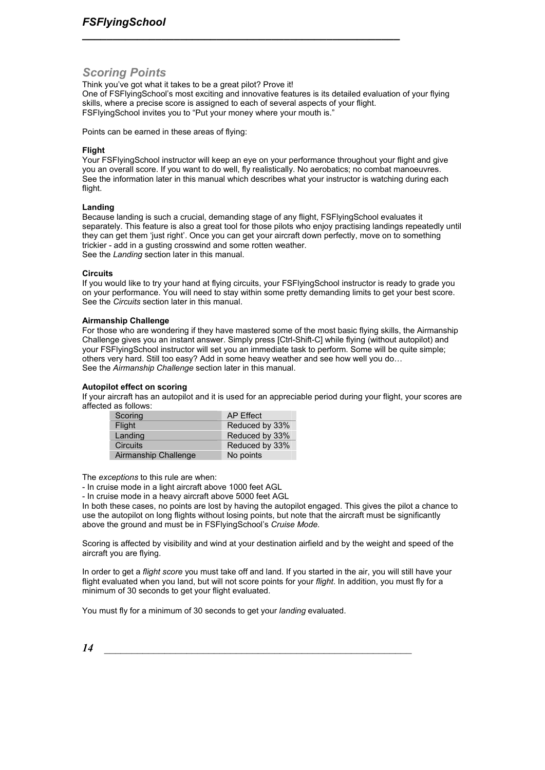### *Scoring Points*

Think you've got what it takes to be a great pilot? Prove it! One of FSFlyingSchool's most exciting and innovative features is its detailed evaluation of your flying skills, where a precise score is assigned to each of several aspects of your flight. FSFlyingSchool invites you to "Put your money where your mouth is."

*\_\_\_\_\_\_\_\_\_\_\_\_\_\_\_\_\_\_\_\_\_\_\_\_\_\_\_\_\_\_\_\_\_\_\_\_\_\_\_\_\_\_\_\_\_\_\_\_\_\_\_\_*

Points can be earned in these areas of flying:

#### **Flight**

Your FSFlyingSchool instructor will keep an eye on your performance throughout your flight and give you an overall score. If you want to do well, fly realistically. No aerobatics; no combat manoeuvres. See the information later in this manual which describes what your instructor is watching during each flight.

#### **Landing**

Because landing is such a crucial, demanding stage of any flight, FSFlyingSchool evaluates it separately. This feature is also a great tool for those pilots who enjoy practising landings repeatedly until they can get them 'just right'. Once you can get your aircraft down perfectly, move on to something trickier - add in a gusting crosswind and some rotten weather. See the *Landing* section later in this manual.

#### **Circuits**

If you would like to try your hand at flying circuits, your FSFlyingSchool instructor is ready to grade you on your performance. You will need to stay within some pretty demanding limits to get your best score. See the *Circuits* section later in this manual.

#### **Airmanship Challenge**

For those who are wondering if they have mastered some of the most basic flying skills, the Airmanship Challenge gives you an instant answer. Simply press [Ctrl-Shift-C] while flying (without autopilot) and your FSFlyingSchool instructor will set you an immediate task to perform. Some will be quite simple; others very hard. Still too easy? Add in some heavy weather and see how well you do... See the *Airmanship Challenge* section later in this manual.

#### **Autopilot effect on scoring**

If your aircraft has an autopilot and it is used for an appreciable period during your flight, your scores are affected as follows:

| Scoring              | AP Effect      |
|----------------------|----------------|
| Flight               | Reduced by 33% |
| Landing              | Reduced by 33% |
| <b>Circuits</b>      | Reduced by 33% |
| Airmanship Challenge | No points      |

The *exceptions* to this rule are when:

- In cruise mode in a light aircraft above 1000 feet AGL

- In cruise mode in a heavy aircraft above 5000 feet AGL

In both these cases, no points are lost by having the autopilot engaged. This gives the pilot a chance to use the autopilot on long flights without losing points, but note that the aircraft must be significantly above the ground and must be in FSFlyingSchool's *Cruise Mode.* 

Scoring is affected by visibility and wind at your destination airfield and by the weight and speed of the aircraft you are flying.

In order to get a *flight score* you must take off and land. If you started in the air, you will still have your flight evaluated when you land, but will not score points for your *flight*. In addition, you must fly for a minimum of 30 seconds to get your flight evaluated.

You must fly for a minimum of 30 seconds to get your *landing* evaluated.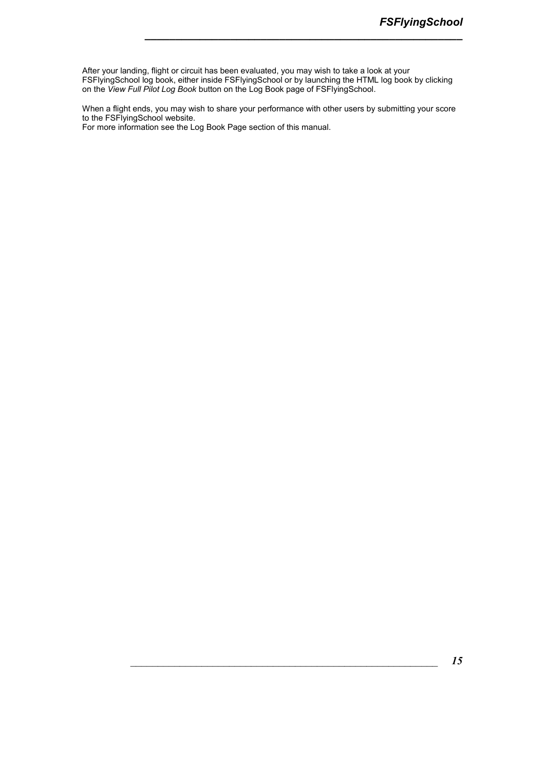After your landing, flight or circuit has been evaluated, you may wish to take a look at your FSFlyingSchool log book, either inside FSFlyingSchool or by launching the HTML log book by clicking on the *View Full Pilot Log Book* button on the Log Book page of FSFlyingSchool.

*\_\_\_\_\_\_\_\_\_\_\_\_\_\_\_\_\_\_\_\_\_\_\_\_\_\_\_\_\_\_\_\_\_\_\_\_\_\_\_\_\_\_\_\_\_\_\_\_\_\_\_\_*

When a flight ends, you may wish to share your performance with other users by submitting your score to the FSFlyingSchool website.

For more information see the Log Book Page section of this manual.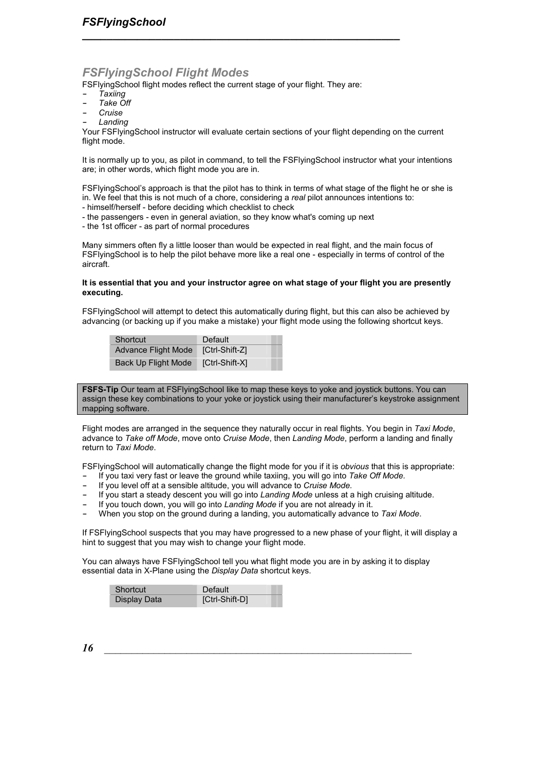### *FSFlyingSchool Flight Modes*

FSFlyingSchool flight modes reflect the current stage of your flight. They are:

*\_\_\_\_\_\_\_\_\_\_\_\_\_\_\_\_\_\_\_\_\_\_\_\_\_\_\_\_\_\_\_\_\_\_\_\_\_\_\_\_\_\_\_\_\_\_\_\_\_\_\_\_*

- **-** *Taxiing*
- **-** *Take Off*
- **-** *Cruise*
- **-** *Landing*

Your FSFlyingSchool instructor will evaluate certain sections of your flight depending on the current flight mode.

It is normally up to you, as pilot in command, to tell the FSFlyingSchool instructor what your intentions are; in other words, which flight mode you are in.

FSFlyingSchool's approach is that the pilot has to think in terms of what stage of the flight he or she is in. We feel that this is not much of a chore, considering a *real* pilot announces intentions to:

- himself/herself before deciding which checklist to check
- the passengers even in general aviation, so they know what's coming up next
- the 1st officer as part of normal procedures

Many simmers often fly a little looser than would be expected in real flight, and the main focus of FSFlyingSchool is to help the pilot behave more like a real one - especially in terms of control of the aircraft.

#### **It is essential that you and your instructor agree on what stage of your flight you are presently executing.**

FSFlyingSchool will attempt to detect this automatically during flight, but this can also be achieved by advancing (or backing up if you make a mistake) your flight mode using the following shortcut keys.

| Shortcut                   | Default        |
|----------------------------|----------------|
| Advance Flight Mode        | [Ctrl-Shift-Z] |
| <b>Back Up Flight Mode</b> | [Ctrl-Shift-X] |

**FSFS-Tip** Our team at FSFlyingSchool like to map these keys to yoke and joystick buttons. You can assign these key combinations to your yoke or joystick using their manufacturer's keystroke assignment mapping software.

Flight modes are arranged in the sequence they naturally occur in real flights. You begin in *Taxi Mode*, advance to *Take off Mode*, move onto *Cruise Mode*, then *Landing Mode*, perform a landing and finally return to *Taxi Mode*.

FSFlyingSchool will automatically change the flight mode for you if it is *obvious* that this is appropriate:

- **-** If you taxi very fast or leave the ground while taxiing, you will go into *Take Off Mode.*
- **-** If you level off at a sensible altitude, you will advance to *Cruise Mode.*
- **-** If you start a steady descent you will go into *Landing Mode* unless at a high cruising altitude.
- **-** If you touch down, you will go into *Landing Mode* if you are not already in it.
- **-** When you stop on the ground during a landing, you automatically advance to *Taxi Mode*.

If FSFlyingSchool suspects that you may have progressed to a new phase of your flight, it will display a hint to suggest that you may wish to change your flight mode.

You can always have FSFlyingSchool tell you what flight mode you are in by asking it to display essential data in X-Plane using the *Display Data* shortcut keys.

| Shortcut     | Default        |
|--------------|----------------|
| Display Data | [Ctrl-Shift-D] |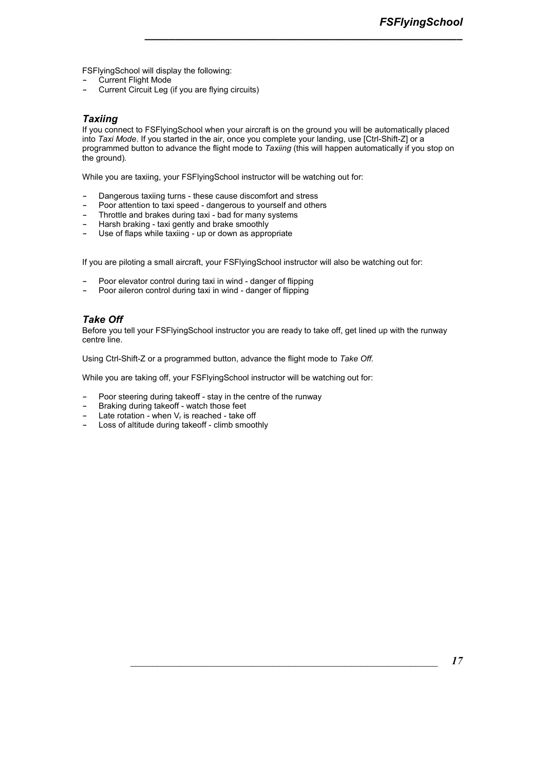FSFlyingSchool will display the following:

- **-** Current Flight Mode
- **-** Current Circuit Leg (if you are flying circuits)

### *Taxiing*

If you connect to FSFlyingSchool when your aircraft is on the ground you will be automatically placed into *Taxi Mode*. If you started in the air, once you complete your landing, use [Ctrl-Shift-Z] or a programmed button to advance the flight mode to *Taxiing* (this will happen automatically if you stop on the ground)*.* 

*\_\_\_\_\_\_\_\_\_\_\_\_\_\_\_\_\_\_\_\_\_\_\_\_\_\_\_\_\_\_\_\_\_\_\_\_\_\_\_\_\_\_\_\_\_\_\_\_\_\_\_\_*

While you are taxiing, your FSFlyingSchool instructor will be watching out for:

- **-** Dangerous taxiing turns these cause discomfort and stress
- **-** Poor attention to taxi speed dangerous to yourself and others
- **-** Throttle and brakes during taxi bad for many systems
- **-** Harsh braking taxi gently and brake smoothly
- **-** Use of flaps while taxiing up or down as appropriate

If you are piloting a small aircraft, your FSFlyingSchool instructor will also be watching out for:

- **-** Poor elevator control during taxi in wind danger of flipping
- **-** Poor aileron control during taxi in wind danger of flipping

### *Take Off*

Before you tell your FSFlyingSchool instructor you are ready to take off, get lined up with the runway centre line.

Using Ctrl-Shift-Z or a programmed button, advance the flight mode to *Take Off.* 

While you are taking off, your FSFlyingSchool instructor will be watching out for:

- **-** Poor steering during takeoff stay in the centre of the runway
- **-** Braking during takeoff watch those feet
- **-** Late rotation when Vr is reached take off
- **-** Loss of altitude during takeoff climb smoothly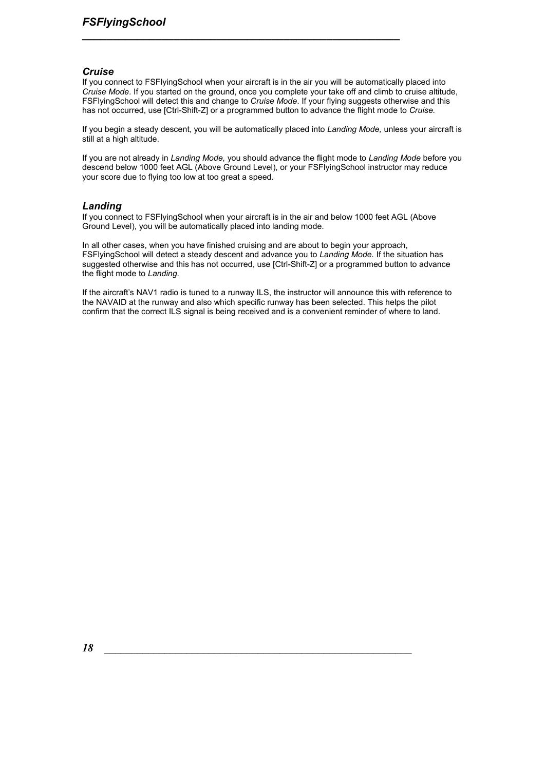### *Cruise*

If you connect to FSFlyingSchool when your aircraft is in the air you will be automatically placed into *Cruise Mode*. If you started on the ground, once you complete your take off and climb to cruise altitude, FSFlyingSchool will detect this and change to *Cruise Mode*. If your flying suggests otherwise and this has not occurred, use [Ctrl-Shift-Z] or a programmed button to advance the flight mode to *Cruise.* 

*\_\_\_\_\_\_\_\_\_\_\_\_\_\_\_\_\_\_\_\_\_\_\_\_\_\_\_\_\_\_\_\_\_\_\_\_\_\_\_\_\_\_\_\_\_\_\_\_\_\_\_\_*

If you begin a steady descent, you will be automatically placed into *Landing Mode,* unless your aircraft is still at a high altitude.

If you are not already in *Landing Mode,* you should advance the flight mode to *Landing Mode* before you descend below 1000 feet AGL (Above Ground Level), or your FSFlyingSchool instructor may reduce your score due to flying too low at too great a speed.

### *Landing*

If you connect to FSFlyingSchool when your aircraft is in the air and below 1000 feet AGL (Above Ground Level), you will be automatically placed into landing mode.

In all other cases, when you have finished cruising and are about to begin your approach, FSFlyingSchool will detect a steady descent and advance you to *Landing Mode.* If the situation has suggested otherwise and this has not occurred, use [Ctrl-Shift-Z] or a programmed button to advance the flight mode to *Landing.* 

If the aircraft's NAV1 radio is tuned to a runway ILS, the instructor will announce this with reference to the NAVAID at the runway and also which specific runway has been selected. This helps the pilot confirm that the correct ILS signal is being received and is a convenient reminder of where to land.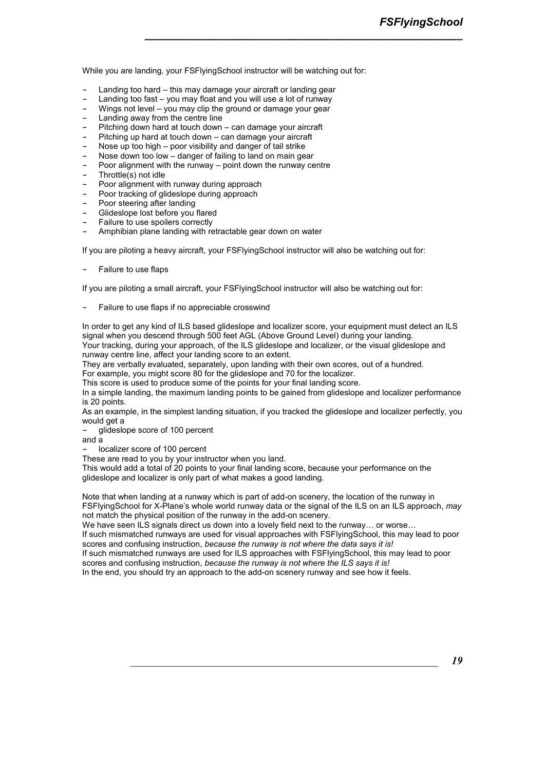While you are landing, your FSFlyingSchool instructor will be watching out for:

*\_\_\_\_\_\_\_\_\_\_\_\_\_\_\_\_\_\_\_\_\_\_\_\_\_\_\_\_\_\_\_\_\_\_\_\_\_\_\_\_\_\_\_\_\_\_\_\_\_\_\_\_*

- **-** Landing too hard this may damage your aircraft or landing gear
- **-** Landing too fast you may float and you will use a lot of runway
- **-** Wings not level you may clip the ground or damage your gear
- **-** Landing away from the centre line
- **-** Pitching down hard at touch down can damage your aircraft
- **-** Pitching up hard at touch down can damage your aircraft
- **-** Nose up too high poor visibility and danger of tail strike
- **-** Nose down too low danger of failing to land on main gear **-** Poor alignment with the runway – point down the runway centre
- 
- **-** Throttle(s) not idle
- **-** Poor alignment with runway during approach
- **-** Poor tracking of glideslope during approach
- **-** Poor steering after landing
- **-** Glideslope lost before you flared
- **-** Failure to use spoilers correctly
- **-** Amphibian plane landing with retractable gear down on water

If you are piloting a heavy aircraft, your FSFlyingSchool instructor will also be watching out for:

**-** Failure to use flaps

If you are piloting a small aircraft, your FSFlyingSchool instructor will also be watching out for:

**-** Failure to use flaps if no appreciable crosswind

In order to get any kind of ILS based glideslope and localizer score, your equipment must detect an ILS signal when you descend through 500 feet AGL (Above Ground Level) during your landing. Your tracking, during your approach, of the ILS glideslope and localizer, or the visual glideslope and runway centre line, affect your landing score to an extent.

They are verbally evaluated, separately, upon landing with their own scores, out of a hundred.

For example, you might score 80 for the glideslope and 70 for the localizer.

This score is used to produce some of the points for your final landing score.

In a simple landing, the maximum landing points to be gained from glideslope and localizer performance is 20 points.

As an example, in the simplest landing situation, if you tracked the glideslope and localizer perfectly, you would get a

**-** glideslope score of 100 percent

and a

**-** localizer score of 100 percent

These are read to you by your instructor when you land.

This would add a total of 20 points to your final landing score, because your performance on the glideslope and localizer is only part of what makes a good landing.

Note that when landing at a runway which is part of add-on scenery, the location of the runway in FSFlyingSchool for X-Plane's whole world runway data or the signal of the ILS on an ILS approach, *may*  not match the physical position of the runway in the add-on scenery.

We have seen ILS signals direct us down into a lovely field next to the runway... or worse...

If such mismatched runways are used for visual approaches with FSFlyingSchool, this may lead to poor scores and confusing instruction, *because the runway is not where the data says it is!*

If such mismatched runways are used for ILS approaches with FSFlyingSchool, this may lead to poor scores and confusing instruction, *because the runway is not where the ILS says it is!*

In the end, you should try an approach to the add-on scenery runway and see how it feels.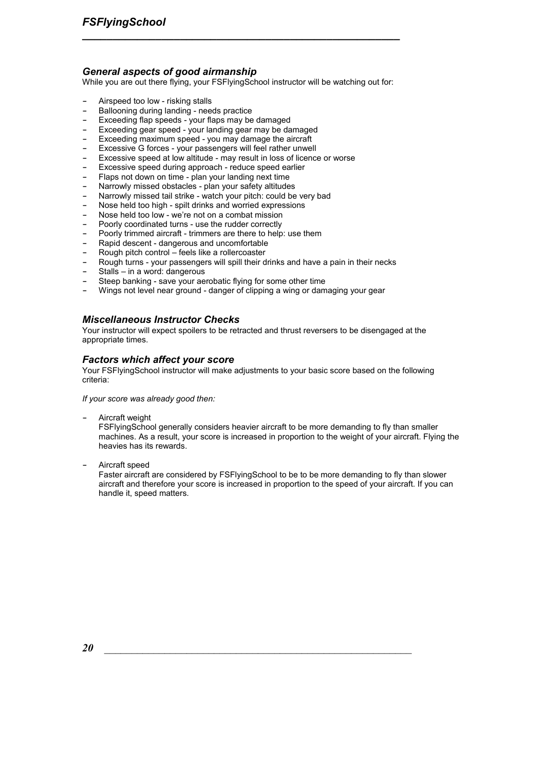### *General aspects of good airmanship*

While you are out there flying, your FSFlyingSchool instructor will be watching out for:

*\_\_\_\_\_\_\_\_\_\_\_\_\_\_\_\_\_\_\_\_\_\_\_\_\_\_\_\_\_\_\_\_\_\_\_\_\_\_\_\_\_\_\_\_\_\_\_\_\_\_\_\_*

- **-** Airspeed too low risking stalls
- **-** Ballooning during landing needs practice
- **-** Exceeding flap speeds your flaps may be damaged
- **-** Exceeding gear speed your landing gear may be damaged
- **-** Exceeding maximum speed you may damage the aircraft
- **-** Excessive G forces your passengers will feel rather unwell
- **-** Excessive speed at low altitude may result in loss of licence or worse
- **-** Excessive speed during approach reduce speed earlier
- **-** Flaps not down on time plan your landing next time
- **-** Narrowly missed obstacles plan your safety altitudes
- **-** Narrowly missed tail strike watch your pitch: could be very bad
- **-** Nose held too high spilt drinks and worried expressions
- **-** Nose held too low we're not on a combat mission
- **-** Poorly coordinated turns use the rudder correctly
- **-** Poorly trimmed aircraft trimmers are there to help: use them
- **-** Rapid descent dangerous and uncomfortable
- **-** Rough pitch control feels like a rollercoaster
- **-** Rough turns your passengers will spill their drinks and have a pain in their necks
- **-** Stalls in a word: dangerous
- **-** Steep banking save your aerobatic flying for some other time
- **-** Wings not level near ground danger of clipping a wing or damaging your gear

### *Miscellaneous Instructor Checks*

Your instructor will expect spoilers to be retracted and thrust reversers to be disengaged at the appropriate times.

### *Factors which affect your score*

Your FSFlyingSchool instructor will make adjustments to your basic score based on the following criteria:

*If your score was already good then:* 

**-** Aircraft weight

FSFlyingSchool generally considers heavier aircraft to be more demanding to fly than smaller machines. As a result, your score is increased in proportion to the weight of your aircraft. Flying the heavies has its rewards.

**-** Aircraft speed

Faster aircraft are considered by FSFlyingSchool to be to be more demanding to fly than slower aircraft and therefore your score is increased in proportion to the speed of your aircraft. If you can handle it, speed matters.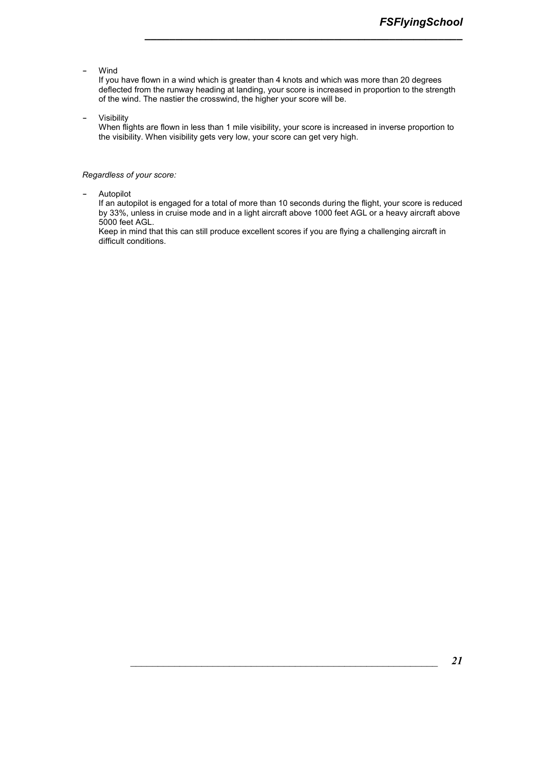**-** Wind

If you have flown in a wind which is greater than 4 knots and which was more than 20 degrees deflected from the runway heading at landing, your score is increased in proportion to the strength of the wind. The nastier the crosswind, the higher your score will be.

*\_\_\_\_\_\_\_\_\_\_\_\_\_\_\_\_\_\_\_\_\_\_\_\_\_\_\_\_\_\_\_\_\_\_\_\_\_\_\_\_\_\_\_\_\_\_\_\_\_\_\_\_*

**-** Visibility

When flights are flown in less than 1 mile visibility, your score is increased in inverse proportion to the visibility. When visibility gets very low, your score can get very high.

#### *Regardless of your score:*

**-** Autopilot

If an autopilot is engaged for a total of more than 10 seconds during the flight, your score is reduced by 33%, unless in cruise mode and in a light aircraft above 1000 feet AGL or a heavy aircraft above 5000 feet AGL.

Keep in mind that this can still produce excellent scores if you are flying a challenging aircraft in difficult conditions.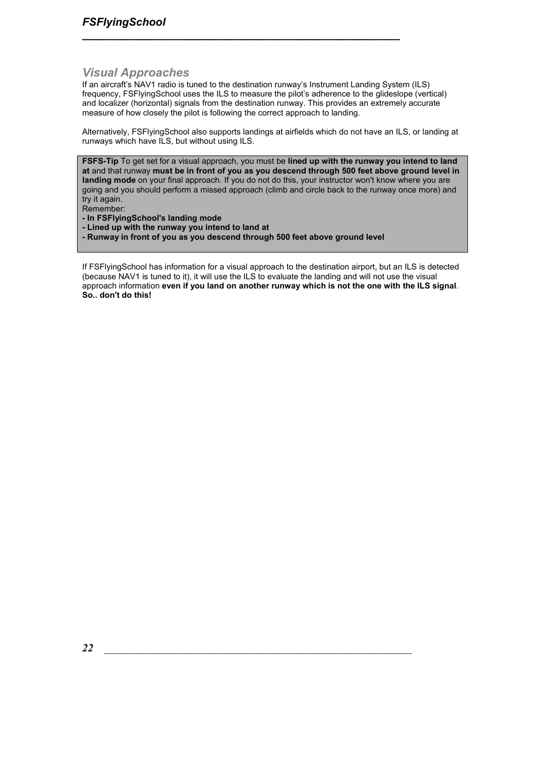### *Visual Approaches*

If an aircraft's NAV1 radio is tuned to the destination runway's Instrument Landing System (ILS) frequency, FSFlyingSchool uses the ILS to measure the pilot's adherence to the glideslope (vertical) and localizer (horizontal) signals from the destination runway. This provides an extremely accurate measure of how closely the pilot is following the correct approach to landing.

*\_\_\_\_\_\_\_\_\_\_\_\_\_\_\_\_\_\_\_\_\_\_\_\_\_\_\_\_\_\_\_\_\_\_\_\_\_\_\_\_\_\_\_\_\_\_\_\_\_\_\_\_*

Alternatively, FSFlyingSchool also supports landings at airfields which do not have an ILS, or landing at runways which have ILS, but without using ILS.

**FSFS-Tip** To get set for a visual approach, you must be **lined up with the runway you intend to land at** and that runway **must be in front of you as you descend through 500 feet above ground level in landing mode** on your final approach. If you do not do this, your instructor won't know where you are going and you should perform a missed approach (climb and circle back to the runway once more) and try it again.

Remember:

**- In FSFlyingSchool's landing mode** 

**- Lined up with the runway you intend to land at** 

**- Runway in front of you as you descend through 500 feet above ground level** 

If FSFlyingSchool has information for a visual approach to the destination airport, but an ILS is detected (because NAV1 is tuned to it), it will use the ILS to evaluate the landing and will not use the visual approach information **even if you land on another runway which is not the one with the ILS signal**. **So.. don't do this!**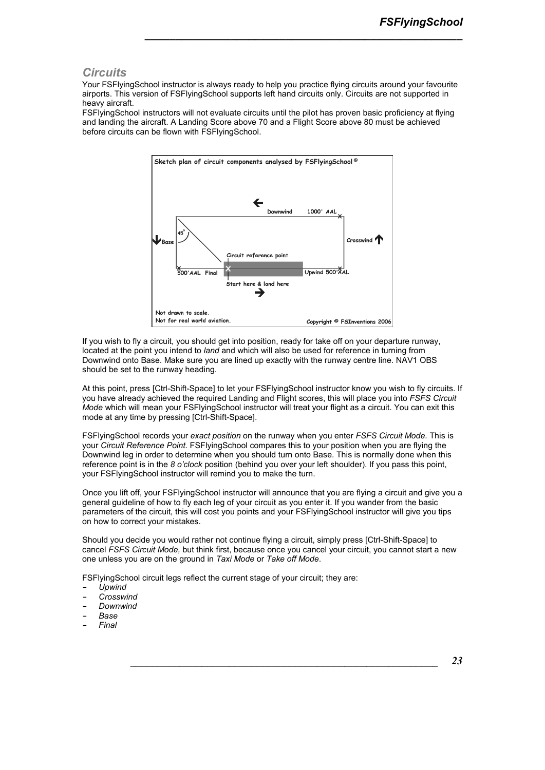### *Circuits*

Your FSFlyingSchool instructor is always ready to help you practice flying circuits around your favourite airports. This version of FSFlyingSchool supports left hand circuits only. Circuits are not supported in heavy aircraft.

*\_\_\_\_\_\_\_\_\_\_\_\_\_\_\_\_\_\_\_\_\_\_\_\_\_\_\_\_\_\_\_\_\_\_\_\_\_\_\_\_\_\_\_\_\_\_\_\_\_\_\_\_*

FSFlyingSchool instructors will not evaluate circuits until the pilot has proven basic proficiency at flying and landing the aircraft. A Landing Score above 70 and a Flight Score above 80 must be achieved before circuits can be flown with FSFlyingSchool.



If you wish to fly a circuit, you should get into position, ready for take off on your departure runway, located at the point you intend to *land* and which will also be used for reference in turning from Downwind onto Base. Make sure you are lined up exactly with the runway centre line. NAV1 OBS should be set to the runway heading.

At this point, press [Ctrl-Shift-Space] to let your FSFlyingSchool instructor know you wish to fly circuits. If you have already achieved the required Landing and Flight scores, this will place you into *FSFS Circuit Mode* which will mean your FSFlyingSchool instructor will treat your flight as a circuit. You can exit this mode at any time by pressing [Ctrl-Shift-Space].

FSFlyingSchool records your *exact position* on the runway when you enter *FSFS Circuit Mode.* This is your *Circuit Reference Point.* FSFlyingSchool compares this to your position when you are flying the Downwind leg in order to determine when you should turn onto Base. This is normally done when this reference point is in the *8 o'clock* position (behind you over your left shoulder). If you pass this point, your FSFlyingSchool instructor will remind you to make the turn.

Once you lift off, your FSFlyingSchool instructor will announce that you are flying a circuit and give you a general guideline of how to fly each leg of your circuit as you enter it. If you wander from the basic parameters of the circuit, this will cost you points and your FSFlyingSchool instructor will give you tips on how to correct your mistakes.

Should you decide you would rather not continue flying a circuit, simply press [Ctrl-Shift-Space] to cancel *FSFS Circuit Mode,* but think first, because once you cancel your circuit, you cannot start a new one unless you are on the ground in *Taxi Mode* or *Take off Mode*.

FSFlyingSchool circuit legs reflect the current stage of your circuit; they are:

- **-** *Upwind*
- **-** *Crosswind*
- **-** *Downwind*
- **-** *Base*
- **-** *Final*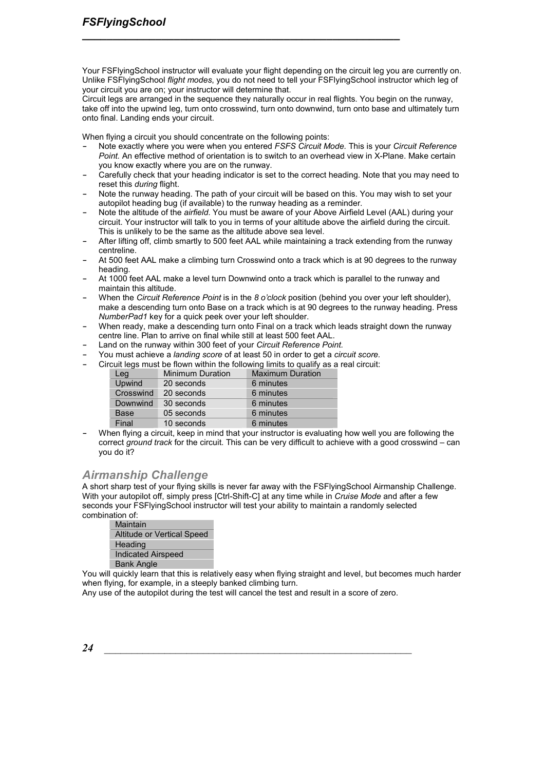Your FSFlyingSchool instructor will evaluate your flight depending on the circuit leg you are currently on. Unlike FSFlyingSchool *flight modes*, you do not need to tell your FSFlyingSchool instructor which leg of your circuit you are on; your instructor will determine that.

*\_\_\_\_\_\_\_\_\_\_\_\_\_\_\_\_\_\_\_\_\_\_\_\_\_\_\_\_\_\_\_\_\_\_\_\_\_\_\_\_\_\_\_\_\_\_\_\_\_\_\_\_*

Circuit legs are arranged in the sequence they naturally occur in real flights. You begin on the runway, take off into the upwind leg, turn onto crosswind, turn onto downwind, turn onto base and ultimately turn onto final. Landing ends your circuit.

When flying a circuit you should concentrate on the following points:

- **-** Note exactly where you were when you entered *FSFS Circuit Mode.* This is your *Circuit Reference Point.* An effective method of orientation is to switch to an overhead view in X-Plane. Make certain you know exactly where you are on the runway.
- **-** Carefully check that your heading indicator is set to the correct heading. Note that you may need to reset this *during* flight.
- **-** Note the runway heading. The path of your circuit will be based on this. You may wish to set your autopilot heading bug (if available) to the runway heading as a reminder.
- **-** Note the altitude of the *airfield*. You must be aware of your Above Airfield Level (AAL) during your circuit. Your instructor will talk to you in terms of your altitude above the airfield during the circuit. This is unlikely to be the same as the altitude above sea level.
- **-** After lifting off, climb smartly to 500 feet AAL while maintaining a track extending from the runway centreline.
- **-** At 500 feet AAL make a climbing turn Crosswind onto a track which is at 90 degrees to the runway heading.
- **-** At 1000 feet AAL make a level turn Downwind onto a track which is parallel to the runway and maintain this altitude.
- **-** When the *Circuit Reference Point* is in the *8 o'clock* position (behind you over your left shoulder), make a descending turn onto Base on a track which is at 90 degrees to the runway heading. Press *NumberPad1* key for a quick peek over your left shoulder.
- **-** When ready, make a descending turn onto Final on a track which leads straight down the runway centre line. Plan to arrive on final while still at least 500 feet AAL.
- **-** Land on the runway within 300 feet of your *Circuit Reference Point.*
- **-** You must achieve a *landing score* of at least 50 in order to get a *circuit score.*
- **-** Circuit legs must be flown within the following limits to qualify as a real circuit:

| Leg       | <b>Minimum Duration</b> | <b>Maximum Duration</b> |
|-----------|-------------------------|-------------------------|
| Upwind    | 20 seconds              | 6 minutes               |
| Crosswind | 20 seconds              | 6 minutes               |
| Downwind  | 30 seconds              | 6 minutes               |
| Base      | 05 seconds              | 6 minutes               |
| Final     | 10 seconds              | 6 minutes               |

**-** When flying a circuit, keep in mind that your instructor is evaluating how well you are following the correct *ground track* for the circuit. This can be very difficult to achieve with a good crosswind – can you do it?

### *Airmanship Challenge*

A short sharp test of your flying skills is never far away with the FSFlyingSchool Airmanship Challenge. With your autopilot off, simply press [Ctrl-Shift-C] at any time while in *Cruise Mode* and after a few seconds your FSFlyingSchool instructor will test your ability to maintain a randomly selected combination of:

| Maintain                   |  |
|----------------------------|--|
| Altitude or Vertical Speed |  |
| Heading                    |  |
| <b>Indicated Airspeed</b>  |  |
| <b>Bank Angle</b>          |  |

You will quickly learn that this is relatively easy when flying straight and level, but becomes much harder when flying, for example, in a steeply banked climbing turn.

Any use of the autopilot during the test will cancel the test and result in a score of zero.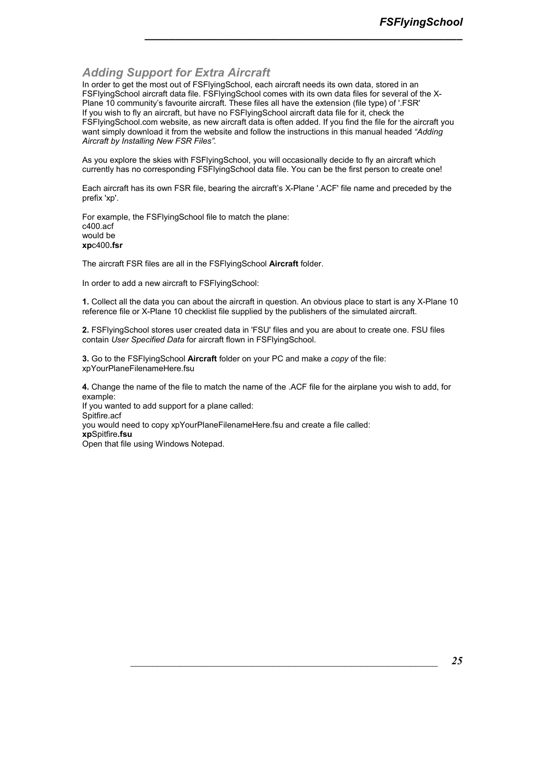### *Adding Support for Extra Aircraft*

In order to get the most out of FSFIyingSchool, each aircraft needs its own data, stored in an FSFlyingSchool aircraft data file. FSFlyingSchool comes with its own data files for several of the X-Plane 10 community's favourite aircraft. These files all have the extension (file type) of '.FSR' If you wish to fly an aircraft, but have no FSFlyingSchool aircraft data file for it, check the FSFlyingSchool.com website, as new aircraft data is often added. If you find the file for the aircraft you want simply download it from the website and follow the instructions in this manual headed *"Adding Aircraft by Installing New FSR Files".* 

*\_\_\_\_\_\_\_\_\_\_\_\_\_\_\_\_\_\_\_\_\_\_\_\_\_\_\_\_\_\_\_\_\_\_\_\_\_\_\_\_\_\_\_\_\_\_\_\_\_\_\_\_*

As you explore the skies with FSFlyingSchool, you will occasionally decide to fly an aircraft which currently has no corresponding FSFlyingSchool data file. You can be the first person to create one!

Each aircraft has its own FSR file, bearing the aircraft's X-Plane '.ACF' file name and preceded by the prefix 'xp'.

For example, the FSFlyingSchool file to match the plane: c400.acf would be **xp**c400**.fsr**

The aircraft FSR files are all in the FSFlyingSchool **Aircraft** folder.

In order to add a new aircraft to FSFlyingSchool:

**1.** Collect all the data you can about the aircraft in question. An obvious place to start is any X-Plane 10 reference file or X-Plane 10 checklist file supplied by the publishers of the simulated aircraft.

**2.** FSFlyingSchool stores user created data in 'FSU' files and you are about to create one. FSU files contain *User Specified Data* for aircraft flown in FSFlyingSchool.

**3.** Go to the FSFlyingSchool **Aircraft** folder on your PC and make a *copy* of the file: xpYourPlaneFilenameHere.fsu

**4.** Change the name of the file to match the name of the .ACF file for the airplane you wish to add, for example: If you wanted to add support for a plane called: Spitfire.acf you would need to copy xpYourPlaneFilenameHere.fsu and create a file called:

**xp**Spitfire**.fsu** Open that file using Windows Notepad.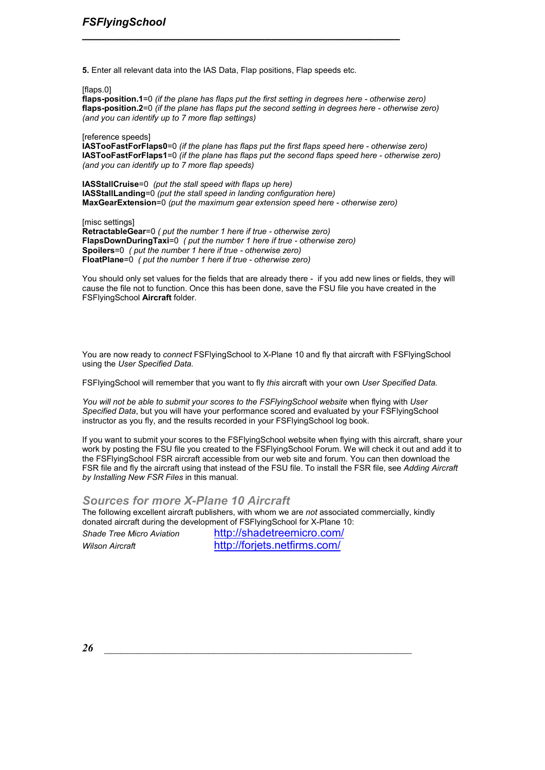**5.** Enter all relevant data into the IAS Data, Flap positions, Flap speeds etc.

*\_\_\_\_\_\_\_\_\_\_\_\_\_\_\_\_\_\_\_\_\_\_\_\_\_\_\_\_\_\_\_\_\_\_\_\_\_\_\_\_\_\_\_\_\_\_\_\_\_\_\_\_*

[flaps.0]

**flaps-position.1**=0 *(if the plane has flaps put the first setting in degrees here - otherwise zero)*  **flaps-position.2**=0 *(if the plane has flaps put the second setting in degrees here - otherwise zero) (and you can identify up to 7 more flap settings)* 

[reference speeds]

**IASTooFastForFlaps0**=0 *(if the plane has flaps put the first flaps speed here - otherwise zero)* **IASTooFastForFlaps1**=0 *(if the plane has flaps put the second flaps speed here - otherwise zero) (and you can identify up to 7 more flap speeds)* 

**IASStallCruise**=0 *(put the stall speed with flaps up here)* **IASStallLanding**=0 *(put the stall speed in landing configuration here)* **MaxGearExtension**=0 *(put the maximum gear extension speed here - otherwise zero)* 

[misc settings] **RetractableGear**=0 *( put the number 1 here if true - otherwise zero)*  **FlapsDownDuringTaxi**=0 *( put the number 1 here if true - otherwise zero)* **Spoilers**=0 *( put the number 1 here if true - otherwise zero)* **FloatPlane**=0 *( put the number 1 here if true - otherwise zero)*

You should only set values for the fields that are already there - if you add new lines or fields, they will cause the file not to function. Once this has been done, save the FSU file you have created in the FSFlyingSchool **Aircraft** folder.

You are now ready to *connect* FSFlyingSchool to X-Plane 10 and fly that aircraft with FSFlyingSchool using the *User Specified Data.* 

FSFlyingSchool will remember that you want to fly *this* aircraft with your own *User Specified Data.* 

*You will not be able to submit your scores to the FSFlyingSchool website* when flying with *User Specified Data*, but you will have your performance scored and evaluated by your FSFlyingSchool instructor as you fly, and the results recorded in your FSFlyingSchool log book.

If you want to submit your scores to the FSFlyingSchool website when flying with this aircraft, share your work by posting the FSU file you created to the FSFlyingSchool Forum. We will check it out and add it to the FSFlyingSchool FSR aircraft accessible from our web site and forum. You can then download the FSR file and fly the aircraft using that instead of the FSU file. To install the FSR file, see *Adding Aircraft by Installing New FSR Files* in this manual.

### *Sources for more X-Plane 10 Aircraft*

The following excellent aircraft publishers, with whom we are *not* associated commercially, kindly donated aircraft during the development of FSFlyingSchool for X-Plane 10:

*Shade Tree Micro Aviation* http://shadetreemicro.com/ *Wilson Aircraft* http://forjets.netfirms.com/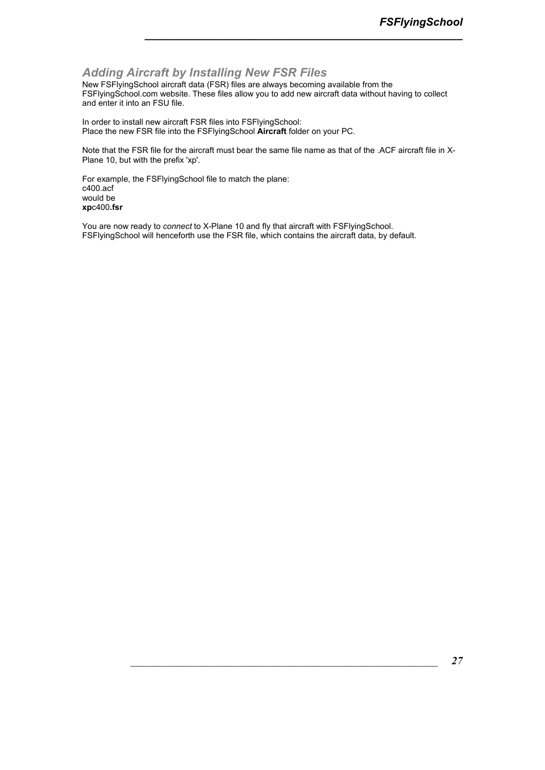### *Adding Aircraft by Installing New FSR Files*

New FSFlyingSchool aircraft data (FSR) files are always becoming available from the FSFlyingSchool.com website. These files allow you to add new aircraft data without having to collect and enter it into an FSU file.

*\_\_\_\_\_\_\_\_\_\_\_\_\_\_\_\_\_\_\_\_\_\_\_\_\_\_\_\_\_\_\_\_\_\_\_\_\_\_\_\_\_\_\_\_\_\_\_\_\_\_\_\_*

In order to install new aircraft FSR files into FSFlyingSchool: Place the new FSR file into the FSFlyingSchool **Aircraft** folder on your PC.

Note that the FSR file for the aircraft must bear the same file name as that of the .ACF aircraft file in X-Plane 10, but with the prefix 'xp'.

For example, the FSFlyingSchool file to match the plane: c400.acf would be **xp**c400**.fsr**

You are now ready to *connect* to X-Plane 10 and fly that aircraft with FSFlyingSchool. FSFlyingSchool will henceforth use the FSR file, which contains the aircraft data, by default.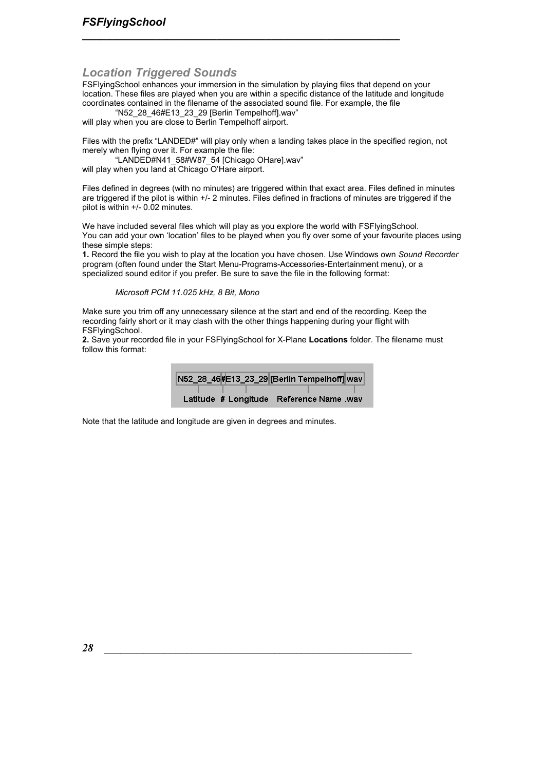### *Location Triggered Sounds*

FSFlyingSchool enhances your immersion in the simulation by playing files that depend on your location. These files are played when you are within a specific distance of the latitude and longitude coordinates contained in the filename of the associated sound file. For example, the file

*\_\_\_\_\_\_\_\_\_\_\_\_\_\_\_\_\_\_\_\_\_\_\_\_\_\_\_\_\_\_\_\_\_\_\_\_\_\_\_\_\_\_\_\_\_\_\_\_\_\_\_\_*

"N52\_28\_46#E13\_23\_29 [Berlin Tempelhoff].wav" will play when you are close to Berlin Tempelhoff airport.

Files with the prefix "LANDED#" will play only when a landing takes place in the specified region, not merely when flying over it. For example the file:

"LANDED#N41\_58#W87\_54 [Chicago OHare].wav" will play when you land at Chicago O'Hare airport.

Files defined in degrees (with no minutes) are triggered within that exact area. Files defined in minutes are triggered if the pilot is within +/- 2 minutes. Files defined in fractions of minutes are triggered if the pilot is within +/- 0.02 minutes.

We have included several files which will play as you explore the world with FSFIyingSchool. You can add your own 'location' files to be played when you fly over some of your favourite places using these simple steps:

**1.** Record the file you wish to play at the location you have chosen. Use Windows own *Sound Recorder* program (often found under the Start Menu-Programs-Accessories-Entertainment menu), or a specialized sound editor if you prefer. Be sure to save the file in the following format:

*Microsoft PCM 11.025 kHz, 8 Bit, Mono* 

Make sure you trim off any unnecessary silence at the start and end of the recording. Keep the recording fairly short or it may clash with the other things happening during your flight with FSFlyingSchool.

**2.** Save your recorded file in your FSFlyingSchool for X-Plane **Locations** folder. The filename must follow this format:

| N52_28_46#E13_23_29 [Berlin Tempelhoff] wav |                                          |
|---------------------------------------------|------------------------------------------|
|                                             |                                          |
|                                             | Latitude # Longitude Reference Name .wav |

Note that the latitude and longitude are given in degrees and minutes.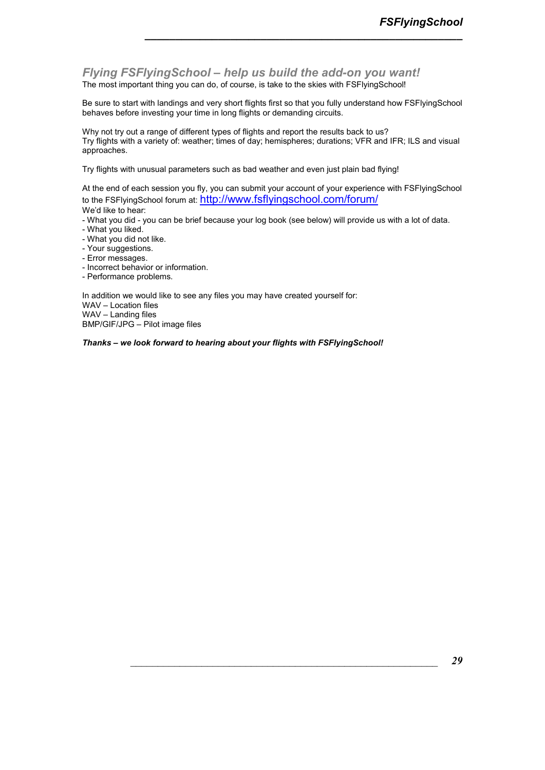*Flying FSFlyingSchool – help us build the add-on you want!*  The most important thing you can do, of course, is take to the skies with FSFlyingSchool!

Be sure to start with landings and very short flights first so that you fully understand how FSFlyingSchool behaves before investing your time in long flights or demanding circuits.

*\_\_\_\_\_\_\_\_\_\_\_\_\_\_\_\_\_\_\_\_\_\_\_\_\_\_\_\_\_\_\_\_\_\_\_\_\_\_\_\_\_\_\_\_\_\_\_\_\_\_\_\_*

Why not try out a range of different types of flights and report the results back to us? Try flights with a variety of: weather; times of day; hemispheres; durations; VFR and IFR; ILS and visual approaches.

Try flights with unusual parameters such as bad weather and even just plain bad flying!

At the end of each session you fly, you can submit your account of your experience with FSFlyingSchool to the FSFlyingSchool forum at: http://www.fsflyingschool.com/forum/ We'd like to hear:

- What you did - you can be brief because your log book (see below) will provide us with a lot of data.

- What you liked.
- What you did not like.
- Your suggestions.
- Error messages.
- Incorrect behavior or information.
- Performance problems.

In addition we would like to see any files you may have created yourself for: WAV – Location files WAV – Landing files BMP/GIF/JPG – Pilot image files

*Thanks – we look forward to hearing about your flights with FSFlyingSchool!*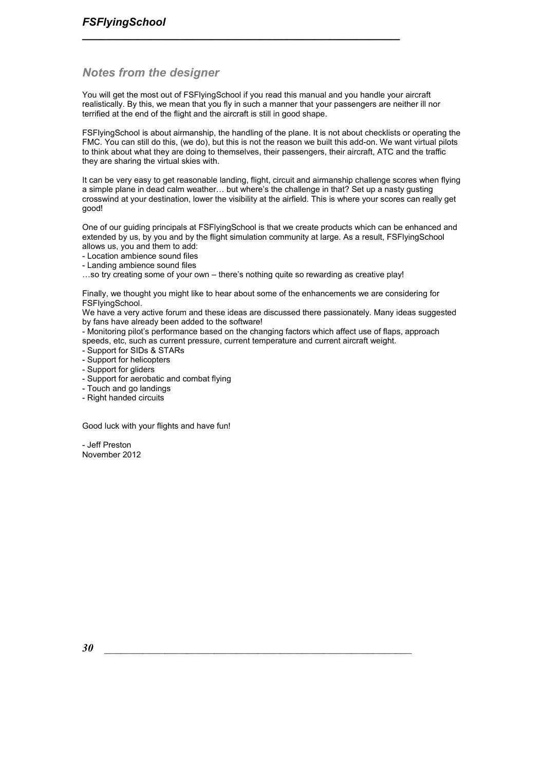### *Notes from the designer*

You will get the most out of FSFlyingSchool if you read this manual and you handle your aircraft realistically. By this, we mean that you fly in such a manner that your passengers are neither ill nor terrified at the end of the flight and the aircraft is still in good shape.

*\_\_\_\_\_\_\_\_\_\_\_\_\_\_\_\_\_\_\_\_\_\_\_\_\_\_\_\_\_\_\_\_\_\_\_\_\_\_\_\_\_\_\_\_\_\_\_\_\_\_\_\_*

FSFlyingSchool is about airmanship, the handling of the plane. It is not about checklists or operating the FMC. You can still do this, (we do), but this is not the reason we built this add-on. We want virtual pilots to think about what they are doing to themselves, their passengers, their aircraft, ATC and the traffic they are sharing the virtual skies with.

It can be very easy to get reasonable landing, flight, circuit and airmanship challenge scores when flying a simple plane in dead calm weather... but where's the challenge in that? Set up a nasty gusting crosswind at your destination, lower the visibility at the airfield. This is where your scores can really get good!

One of our guiding principals at FSFlyingSchool is that we create products which can be enhanced and extended by us, by you and by the flight simulation community at large. As a result, FSFlyingSchool allows us, you and them to add:

- Location ambience sound files
- Landing ambience sound files

...so try creating some of your own – there's nothing quite so rewarding as creative play!

Finally, we thought you might like to hear about some of the enhancements we are considering for FSFlyingSchool.

We have a very active forum and these ideas are discussed there passionately. Many ideas suggested by fans have already been added to the software!

- Monitoring pilot's performance based on the changing factors which affect use of flaps, approach speeds, etc, such as current pressure, current temperature and current aircraft weight.

- Support for SIDs & STARs
- Support for helicopters
- Support for gliders
- Support for aerobatic and combat flying
- Touch and go landings
- Right handed circuits

Good luck with your flights and have fun!

- Jeff Preston November 2012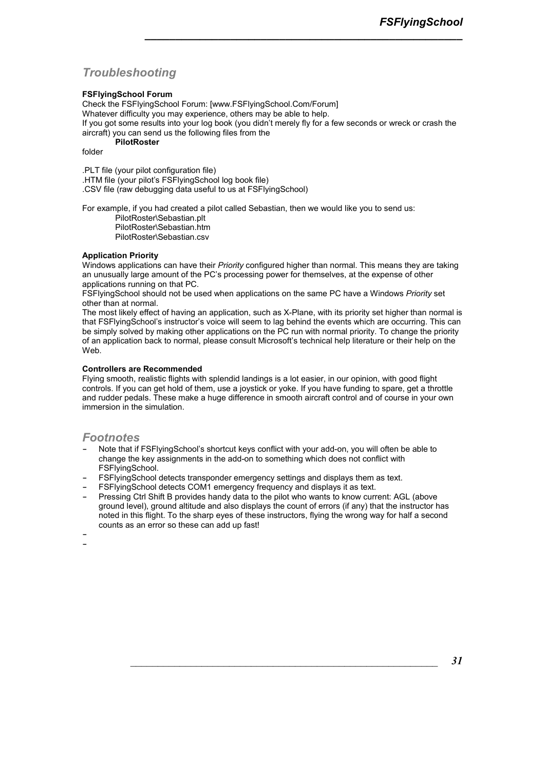### *Troubleshooting*

### **FSFlyingSchool Forum**

Check the FSFlyingSchool Forum: [www.FSFlyingSchool.Com/Forum] Whatever difficulty you may experience, others may be able to help. If you got some results into your log book (you didn't merely fly for a few seconds or wreck or crash the aircraft) you can send us the following files from the **PilotRoster** 

*\_\_\_\_\_\_\_\_\_\_\_\_\_\_\_\_\_\_\_\_\_\_\_\_\_\_\_\_\_\_\_\_\_\_\_\_\_\_\_\_\_\_\_\_\_\_\_\_\_\_\_\_*

folder

.PLT file (your pilot configuration file) .HTM file (your pilot's FSFlyingSchool log book file) .CSV file (raw debugging data useful to us at FSFlyingSchool)

For example, if you had created a pilot called Sebastian, then we would like you to send us: PilotRoster\Sebastian.plt

PilotRoster\Sebastian.htm PilotRoster\Sebastian.csv

### **Application Priority**

Windows applications can have their *Priority* configured higher than normal. This means they are taking an unusually large amount of the PC's processing power for themselves, at the expense of other applications running on that PC.

FSFlyingSchool should not be used when applications on the same PC have a Windows *Priority* set other than at normal.

The most likely effect of having an application, such as X-Plane, with its priority set higher than normal is that FSFlyingSchool's instructor's voice will seem to lag behind the events which are occurring. This can be simply solved by making other applications on the PC run with normal priority. To change the priority of an application back to normal, please consult Microsoft's technical help literature or their help on the Web.

#### **Controllers are Recommended**

Flying smooth, realistic flights with splendid landings is a lot easier, in our opinion, with good flight controls. If you can get hold of them, use a joystick or yoke. If you have funding to spare, get a throttle and rudder pedals. These make a huge difference in smooth aircraft control and of course in your own immersion in the simulation.

### *Footnotes*

- **-** Note that if FSFlyingSchool's shortcut keys conflict with your add-on, you will often be able to change the key assignments in the add-on to something which does not conflict with FSFlyingSchool.
- **-** FSFlyingSchool detects transponder emergency settings and displays them as text.
- **-** FSFlyingSchool detects COM1 emergency frequency and displays it as text.
- **-** Pressing Ctrl Shift B provides handy data to the pilot who wants to know current: AGL (above ground level), ground altitude and also displays the count of errors (if any) that the instructor has noted in this flight. To the sharp eyes of these instructors, flying the wrong way for half a second counts as an error so these can add up fast!

**- -**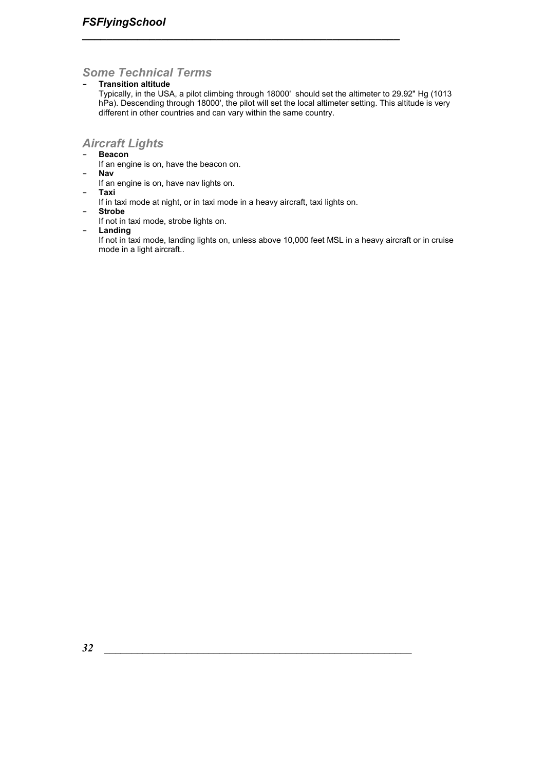### *Some Technical Terms*

**- Transition altitude** 

Typically, in the USA, a pilot climbing through 18000' should set the altimeter to 29.92" Hg (1013 hPa). Descending through 18000', the pilot will set the local altimeter setting. This altitude is very different in other countries and can vary within the same country.

*\_\_\_\_\_\_\_\_\_\_\_\_\_\_\_\_\_\_\_\_\_\_\_\_\_\_\_\_\_\_\_\_\_\_\_\_\_\_\_\_\_\_\_\_\_\_\_\_\_\_\_\_*

### *Aircraft Lights*

- **- Beacon** 
	- If an engine is on, have the beacon on.
- **- Nav** 
	- If an engine is on, have nav lights on.
- **- Taxi**
- If in taxi mode at night, or in taxi mode in a heavy aircraft, taxi lights on.
- **- Strobe**  If not in taxi mode, strobe lights on.
- **- Landing**

If not in taxi mode, landing lights on, unless above 10,000 feet MSL in a heavy aircraft or in cruise mode in a light aircraft..